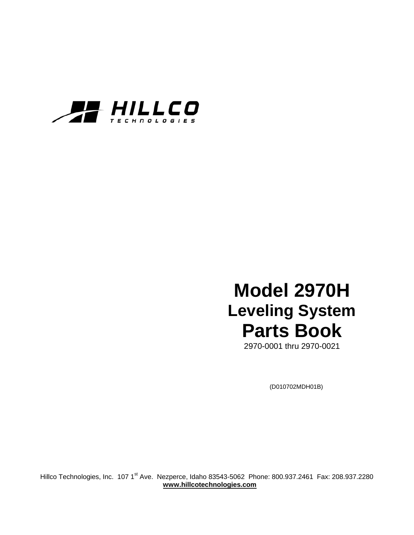

# **Model 2970H Leveling System Parts Book**

2970-0001 thru 2970-0021

(D010702MDH01B)

Hillco Technologies, Inc. 107 1<sup>st</sup> Ave. Nezperce, Idaho 83543-5062 Phone: 800.937.2461 Fax: 208.937.2280  **www.hillcotechnologies.com**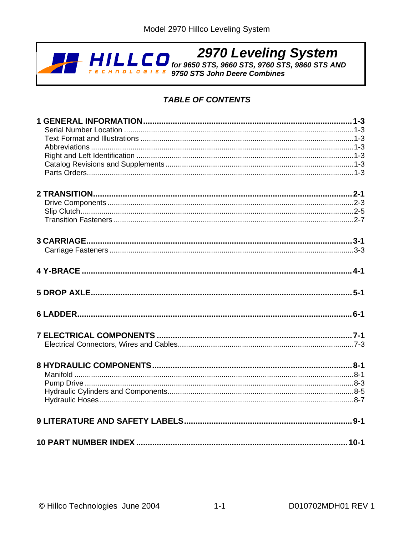

# **TABLE OF CONTENTS**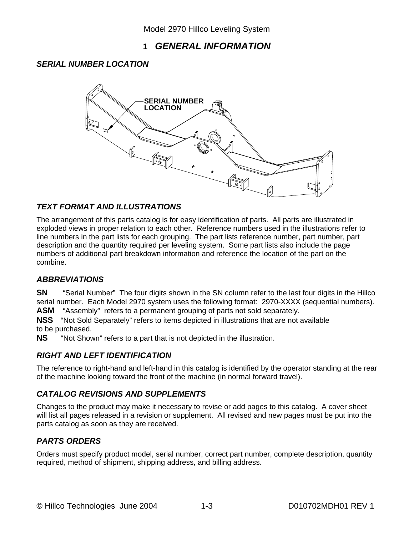## **1** *GENERAL INFORMATION*

### *SERIAL NUMBER LOCATION*



#### *TEXT FORMAT AND ILLUSTRATIONS*

The arrangement of this parts catalog is for easy identification of parts. All parts are illustrated in exploded views in proper relation to each other. Reference numbers used in the illustrations refer to line numbers in the part lists for each grouping. The part lists reference number, part number, part description and the quantity required per leveling system. Some part lists also include the page numbers of additional part breakdown information and reference the location of the part on the combine.

#### *ABBREVIATIONS*

**SN** "Serial Number" The four digits shown in the SN column refer to the last four digits in the Hillco serial number. Each Model 2970 system uses the following format: 2970-XXXX (sequential numbers).

**ASM** "Assembly" refers to a permanent grouping of parts not sold separately.

**NSS** "Not Sold Separately" refers to items depicted in illustrations that are not available to be purchased.

**NS** "Not Shown" refers to a part that is not depicted in the illustration.

#### *RIGHT AND LEFT IDENTIFICATION*

The reference to right-hand and left-hand in this catalog is identified by the operator standing at the rear of the machine looking toward the front of the machine (in normal forward travel).

#### *CATALOG REVISIONS AND SUPPLEMENTS*

Changes to the product may make it necessary to revise or add pages to this catalog. A cover sheet will list all pages released in a revision or supplement. All revised and new pages must be put into the parts catalog as soon as they are received.

#### *PARTS ORDERS*

Orders must specify product model, serial number, correct part number, complete description, quantity required, method of shipment, shipping address, and billing address.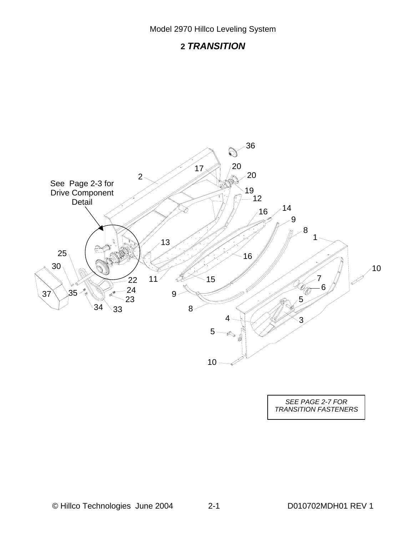# *TRANSITION*



*SEE PAGE 2-7 FOR TRANSITION FASTENERS*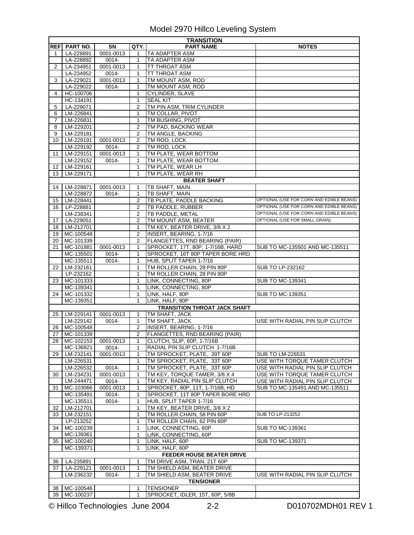|    | <b>TRANSITION</b>    |           |                |                                     |                                          |  |  |  |
|----|----------------------|-----------|----------------|-------------------------------------|------------------------------------------|--|--|--|
|    | <b>REFI PART NO.</b> | <b>SN</b> | QTY.           | <b>PART NAME</b>                    | <b>NOTES</b>                             |  |  |  |
| 1  | LA-228891            | 0001-0013 | 1              | <b>TA ADAPTER ASM</b>               |                                          |  |  |  |
|    | LA-228892            | 0014-     | $\mathbf{1}$   | <b>TA ADAPTER ASM</b>               |                                          |  |  |  |
| 2  | LA-234951            | 0001-0013 | 1              | TT THROAT ASM                       |                                          |  |  |  |
|    | LA-234952            | 0014-     | 1              | <b>TT THROAT ASM</b>                |                                          |  |  |  |
| 3  | LA-229021            | 0001-0013 | 1              | TM MOUNT ASM, ROD                   |                                          |  |  |  |
|    | LA-229022            | $0014 -$  | 1              | TM MOUNT ASM, ROD                   |                                          |  |  |  |
| 4  | HC-100706            |           | 1              | CYLINDER, SLAVE                     |                                          |  |  |  |
|    | HC-134191            |           | 1              | <b>SEAL KIT</b>                     |                                          |  |  |  |
| 5  | LA-229071            |           | 2              | TM PIN ASM, TRIM CYLINDER           |                                          |  |  |  |
| 6  | LM-226841            |           | 1              | TM COLLAR, PIVOT                    |                                          |  |  |  |
| 7  | LM-226831            |           | 1              | TM BUSHING, PIVOT                   |                                          |  |  |  |
| 8  | LM-229201            |           | 2              | TM PAD, BACKING WEAR                |                                          |  |  |  |
| 9  | LM-229181            |           | 2              | TM ANGLE, BACKING                   |                                          |  |  |  |
| 10 | LM-229191            | 0001-0013 | 2              | TM ROD, LOCK                        |                                          |  |  |  |
|    | LM-229192            | 0014-     | 2              | TM ROD, LOCK                        |                                          |  |  |  |
| 11 | LM-229151            | 0001-0013 | 1              | TM PLATE, WEAR BOTTOM               |                                          |  |  |  |
|    | LM-229152            | 0014-     | 1              | TM PLATE, WEAR BOTTOM               |                                          |  |  |  |
| 12 | LM-229161            |           | 1              | TM PLATE, WEAR LH                   |                                          |  |  |  |
| 13 | LM-229171            |           | $\mathbf{1}$   | TM PLATE, WEAR RH                   |                                          |  |  |  |
|    |                      |           |                | <b>BEATER SHAFT</b>                 |                                          |  |  |  |
| 14 | LM-228871            | 0001-0013 | 1              | TB SHAFT, MAIN                      |                                          |  |  |  |
|    | LM-228872            | $0014 -$  | $\mathbf{1}$   | TB SHAFT, MAIN                      |                                          |  |  |  |
| 15 | LM-228441            |           | 2              | TB PLATE, PADDLE BACKING            | OPTIONAL (USE FOR CORN AND EDIBLE BEANS) |  |  |  |
| 16 | LP-228881            |           | $\overline{2}$ | TB PADDLE, RUBBER                   | OPTIONAL (USE FOR CORN AND EDIBLE BEANS) |  |  |  |
|    | LM-238341            |           | 2              | TB PADDLE, METAL                    | OPTIONAL (USE FOR CORN AND EDIBLE BEANS) |  |  |  |
| 17 | LA-229051            |           | 2              | TM MOUNT ASM, BEATER                | OPTIONAL (USE FOR SMALL GRAIN)           |  |  |  |
| 18 | LM-212701            |           | 1              | TM KEY, BEATER DRIVE, 3/8 X 2       |                                          |  |  |  |
| 19 | MC-100548            |           | 2              | INSERT, BEARING, 1-7/16             |                                          |  |  |  |
| 20 | MC-101339            |           | 2              | FLANGETTES, RND BEARING (PAIR)      |                                          |  |  |  |
| 21 | MC-101881            | 0001-0013 | 1              | SPROCKET, 17T, 80P, 1-7/16B, HARD   | SUB TO MC-135501 AND MC-135511           |  |  |  |
|    | MC-135501            | 0014-     | 1              | SPROCKET, 16T 80P TAPER BORE HRD    |                                          |  |  |  |
|    | MC-135511            | 0014-     | 1              | HUB, SPLIT TAPER 1-7/16             |                                          |  |  |  |
| 22 | LM-232161            |           | 1              | TM ROLLER CHAIN, 28 PIN 80P         | SUB TO LP-232162                         |  |  |  |
|    | LP-232162            |           | 1              | TM ROLLER CHAIN, 28 PIN 80P         |                                          |  |  |  |
| 23 | MC-101333            |           | 1              | LINK, CONNECTING, 80P               | SUB TO MC-139341                         |  |  |  |
|    | MC-139341            |           | $\mathbf{1}$   | LINK, CONNECTING, 80P               |                                          |  |  |  |
| 24 | MC-101332            |           | 1              | LINK, HALF, 80P                     | <b>SUB TO MC-139351</b>                  |  |  |  |
|    | MC-139351            |           | 1              | LINK, HALF, 80P                     |                                          |  |  |  |
|    |                      |           |                | <b>TRANSITION THROAT JACK SHAFT</b> |                                          |  |  |  |
| 25 | LM-229141            | 0001-0013 | 1              | TM SHAFT, JACK                      |                                          |  |  |  |
|    | LM-229142            | 0014-     | 1              | TM SHAFT, JACK                      | USE WITH RADIAL PIN SLIP CLUTCH          |  |  |  |
| 26 | MC-100548            |           | 2              | INSERT, BEARING, 1-7/16             |                                          |  |  |  |
| 27 | MC-101339            |           | 2              | FLANGETTES, RND BEARING (PAIR)      |                                          |  |  |  |
|    | 28 MC-102153         | 0001-0013 | $\mathbf{1}$   | CLUTCH, SLIP, 60P, 1-7/16B          |                                          |  |  |  |
|    | MC-136921            | $0014 -$  | 1              | RADIAL PIN SLIP CLUTCH 1-7/16B      |                                          |  |  |  |
| 29 | LM-232141            | 0001-0013 | 1              | TM SPROCKET, PLATE, 39T 60P         | SUB TO LM-226531                         |  |  |  |
|    | LM-226531            |           | 1              | TM SPROCKET, PLATE, 33T 60P         | USE WITH TORQUE TAMER CLUTCH             |  |  |  |
|    | LM-226532            | 0014-     | 1              | TM SPROCKET, PLATE, 33T 60P         | USE WITH RADIAL PIN SLIP CLUTCH          |  |  |  |
| 30 | LM-234231            | 0001-0013 | 1              | TM KEY, TORQUE TAMER, 3/8 X 4       | USE WITH TORQUE TAMER CLUTCH             |  |  |  |
|    | LM-244471            | 0014-     | 1              | TM KEY, RADIAL PIN SLIP CLUTCH      | USE WITH RADIAL PIN SLIP CLUTCH          |  |  |  |
| 31 | MC-103066            | 0001-0013 | 1              | SPROCKET, 80P, 11T, 1-7/16B, HD     | SUB TO MC-135491 AND MC-135511           |  |  |  |
|    | MC-135491            | 0014-     | 1              | SPROCKET, 11T 80P TAPER BORE HRD    |                                          |  |  |  |
|    | MC-135511            | 0014-     | 1              | HUB, SPLIT TAPER 1-7/16             |                                          |  |  |  |
| 32 | LM-212701            |           | 1              | TM KEY, BEATER DRIVE, 3/8 X 2       |                                          |  |  |  |
| 33 | LM-232151            |           | 1              | TM ROLLER CHAIN, 58 PIN 60P         | SUB TO LP-213252                         |  |  |  |
|    | LP-213252            |           | 1              | TM ROLLER CHAIN, 62 PIN 60P         |                                          |  |  |  |
| 34 | MC-100239            |           | 1              | LINK, CONNECTING, 60P               | SUB TO MC-139361                         |  |  |  |
|    | MC-139361            |           | 1              | LINK, CONNECTING, 60P               |                                          |  |  |  |
| 35 | MC-100240            |           | 1              | LINK, HALF, 60P                     | SUB TO MC-139371                         |  |  |  |
|    | MC-139371            |           | 1              | LINK, HALF, 60P                     |                                          |  |  |  |
|    |                      |           |                | <b>FEEDER HOUSE BEATER DRIVE</b>    |                                          |  |  |  |
| 36 | LA-235891            |           | 1              | TM DRIVE ASM, TRAN. 21T 60P         |                                          |  |  |  |
| 37 | LA-229121            | 0001-0013 | 1              | TM SHIELD ASM, BEATER DRIVE         |                                          |  |  |  |
|    | LM-236232            | $0014 -$  | 1              | TM SHIELD ASM, BEATER DRIVE         | USE WITH RADIAL PIN SLIP CLUTCH          |  |  |  |
|    |                      |           |                | <b>TENSIONER</b>                    |                                          |  |  |  |
|    | 38 MC-100546         |           | 1              | <b>TENSIONER</b>                    |                                          |  |  |  |
|    | 39 MC-100237         |           | 1              | SPROCKET, IDLER, 15T, 60P, 5/8B     |                                          |  |  |  |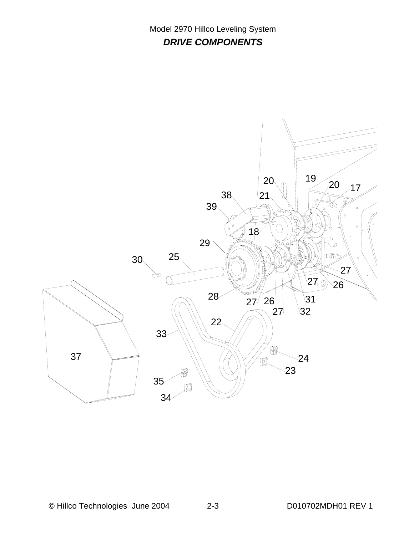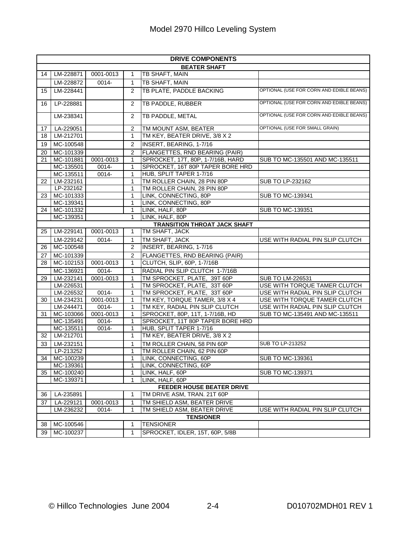|    | <b>DRIVE COMPONENTS</b> |                    |                   |                                                                 |                                                                 |  |  |  |  |  |
|----|-------------------------|--------------------|-------------------|-----------------------------------------------------------------|-----------------------------------------------------------------|--|--|--|--|--|
|    | <b>BEATER SHAFT</b>     |                    |                   |                                                                 |                                                                 |  |  |  |  |  |
| 14 | LM-228871               | 0001-0013          | 1                 | TB SHAFT, MAIN                                                  |                                                                 |  |  |  |  |  |
|    | LM-228872               | 0014-              | $\mathbf{1}$      | TB SHAFT, MAIN                                                  |                                                                 |  |  |  |  |  |
| 15 | LM-228441               |                    | 2                 | TB PLATE, PADDLE BACKING                                        | OPTIONAL (USE FOR CORN AND EDIBLE BEANS)                        |  |  |  |  |  |
| 16 | LP-228881               |                    | 2                 | TB PADDLE, RUBBER                                               | OPTIONAL (USE FOR CORN AND EDIBLE BEANS)                        |  |  |  |  |  |
|    | LM-238341               |                    | 2                 | <b>TB PADDLE, METAL</b>                                         | OPTIONAL (USE FOR CORN AND EDIBLE BEANS)                        |  |  |  |  |  |
| 17 | LA-229051               |                    | $\overline{2}$    | TM MOUNT ASM, BEATER                                            | OPTIONAL (USE FOR SMALL GRAIN)                                  |  |  |  |  |  |
| 18 | LM-212701               |                    | $\mathbf{1}$      | TM KEY, BEATER DRIVE, 3/8 X 2                                   |                                                                 |  |  |  |  |  |
| 19 | MC-100548               |                    | 2                 | INSERT, BEARING, 1-7/16                                         |                                                                 |  |  |  |  |  |
| 20 | MC-101339               |                    | 2                 | FLANGETTES, RND BEARING (PAIR)                                  |                                                                 |  |  |  |  |  |
| 21 | MC-101881               | 0001-0013          | $\mathbf{1}$      | SPROCKET, 17T, 80P, 1-7/16B, HARD                               | SUB TO MC-135501 AND MC-135511                                  |  |  |  |  |  |
|    | MC-135501               | 0014-              | 1                 | SPROCKET, 16T 80P TAPER BORE HRD                                |                                                                 |  |  |  |  |  |
|    | MC-135511               | 0014-              | 1                 | HUB, SPLIT TAPER 1-7/16                                         |                                                                 |  |  |  |  |  |
| 22 | $LM-232161$             |                    | $\mathbf{1}$      | TM ROLLER CHAIN, 28 PIN 80P                                     | SUB TO LP-232162                                                |  |  |  |  |  |
|    | LP-232162               |                    | $\mathbf{1}$      | TM ROLLER CHAIN, 28 PIN 80P                                     |                                                                 |  |  |  |  |  |
| 23 | MC-101333               |                    | 1                 | LINK, CONNECTING, 80P                                           | <b>SUB TO MC-139341</b>                                         |  |  |  |  |  |
|    | MC-139341               |                    | 1                 | LINK, CONNECTING, 80P                                           |                                                                 |  |  |  |  |  |
| 24 | MC-101332               |                    | 1                 | LINK, HALF, 80P                                                 | <b>SUB TO MC-139351</b>                                         |  |  |  |  |  |
|    | MC-139351               |                    | 1                 | LINK, HALF, 80P                                                 |                                                                 |  |  |  |  |  |
|    |                         |                    |                   | <b>TRANSITION THROAT JACK SHAFT</b>                             |                                                                 |  |  |  |  |  |
| 25 | LM-229141               | 0001-0013          | 1                 | TM SHAFT, JACK                                                  |                                                                 |  |  |  |  |  |
|    | LM-229142               | 0014-              | 1                 | TM SHAFT, JACK                                                  | USE WITH RADIAL PIN SLIP CLUTCH                                 |  |  |  |  |  |
| 26 | MC-100548               |                    | $\overline{2}$    | INSERT, BEARING, 1-7/16                                         |                                                                 |  |  |  |  |  |
| 27 | MC-101339               |                    | $\overline{2}$    | FLANGETTES, RND BEARING (PAIR)                                  |                                                                 |  |  |  |  |  |
| 28 | MC-102153               | 0001-0013          | $\mathbf{1}$      | CLUTCH, SLIP, 60P, 1-7/16B                                      |                                                                 |  |  |  |  |  |
|    | MC-136921               | 0014-              | 1                 | RADIAL PIN SLIP CLUTCH 1-7/16B                                  |                                                                 |  |  |  |  |  |
| 29 | LM-232141               | 0001-0013          | 1                 | TM SPROCKET, PLATE, 39T 60P                                     | SUB TO LM-226531                                                |  |  |  |  |  |
|    | LM-226531               |                    | $\mathbf{1}$      | TM SPROCKET, PLATE, 33T 60P                                     | USE WITH TORQUE TAMER CLUTCH                                    |  |  |  |  |  |
|    | LM-226532               | $0014 -$           | 1                 | TM SPROCKET, PLATE, 33T 60P                                     | USE WITH RADIAL PIN SLIP CLUTCH                                 |  |  |  |  |  |
| 30 | LM-234231<br>LM-244471  | 0001-0013          | 1<br>$\mathbf{1}$ | TM KEY, TORQUE TAMER, 3/8 X 4<br>TM KEY, RADIAL PIN SLIP CLUTCH | USE WITH TORQUE TAMER CLUTCH<br>USE WITH RADIAL PIN SLIP CLUTCH |  |  |  |  |  |
| 31 | MC-103066               | 0014-<br>0001-0013 | $\mathbf{1}$      | SPROCKET, 80P, 11T, 1-7/16B, HD                                 | SUB TO MC-135491 AND MC-135511                                  |  |  |  |  |  |
|    | MC-135491               | 0014-              | 1                 | SPROCKET, 11T 80P TAPER BORE HRD                                |                                                                 |  |  |  |  |  |
|    | MC-135511               | 0014-              | 1                 | HUB, SPLIT TAPER 1-7/16                                         |                                                                 |  |  |  |  |  |
| 32 | LM-212701               |                    | 1                 | TM KEY, BEATER DRIVE, 3/8 X 2                                   |                                                                 |  |  |  |  |  |
| 33 | LM-232151               |                    | 1                 | TM ROLLER CHAIN, 58 PIN 60P                                     | SUB TO LP-213252                                                |  |  |  |  |  |
|    | LP-213252               |                    | 1                 | TM ROLLER CHAIN, 62 PIN 60P                                     |                                                                 |  |  |  |  |  |
|    | 34 MC-100239            |                    | 1                 | LINK, CONNECTING, 60P                                           | SUB TO MC-139361                                                |  |  |  |  |  |
|    | MC-139361               |                    | 1                 | LINK, CONNECTING, 60P                                           |                                                                 |  |  |  |  |  |
| 35 | MC-100240               |                    | 1                 | LINK, HALF, 60P                                                 | SUB TO MC-139371                                                |  |  |  |  |  |
|    | MC-139371               |                    | 1                 | LINK, HALF, 60P                                                 |                                                                 |  |  |  |  |  |
|    |                         |                    |                   | FEEDER HOUSE BEATER DRIVE                                       |                                                                 |  |  |  |  |  |
| 36 | LA-235891               |                    | 1                 | TM DRIVE ASM, TRAN. 21T 60P                                     |                                                                 |  |  |  |  |  |
| 37 | LA-229121               | 0001-0013          | 1                 | TM SHIELD ASM, BEATER DRIVE                                     |                                                                 |  |  |  |  |  |
|    | LM-236232               | 0014-              | 1                 | TM SHIELD ASM, BEATER DRIVE                                     | USE WITH RADIAL PIN SLIP CLUTCH                                 |  |  |  |  |  |
|    |                         |                    |                   | <b>TENSIONER</b>                                                |                                                                 |  |  |  |  |  |
| 38 | MC-100546               |                    | 1                 | <b>TENSIONER</b>                                                |                                                                 |  |  |  |  |  |
| 39 | MC-100237               |                    | $\mathbf{1}$      | SPROCKET, IDLER, 15T, 60P, 5/8B                                 |                                                                 |  |  |  |  |  |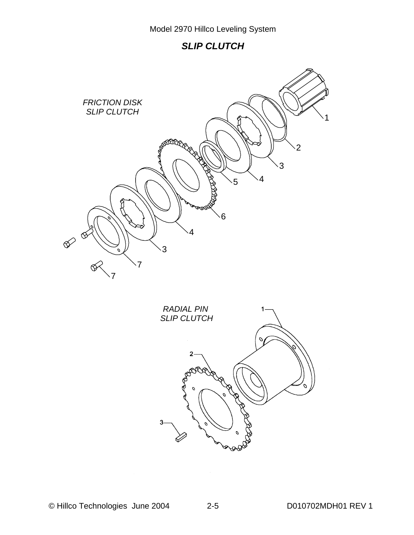## **SLIP CLUTCH**

![](_page_8_Picture_2.jpeg)

![](_page_8_Figure_3.jpeg)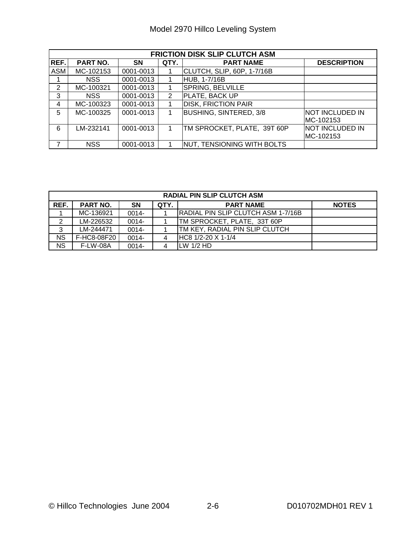| <b>FRICTION DISK SLIP CLUTCH ASM</b> |            |           |      |                               |                        |  |  |  |
|--------------------------------------|------------|-----------|------|-------------------------------|------------------------|--|--|--|
| REF.                                 | PART NO.   | <b>SN</b> | QTY. | <b>PART NAME</b>              | <b>DESCRIPTION</b>     |  |  |  |
| <b>ASM</b>                           | MC-102153  | 0001-0013 |      | CLUTCH, SLIP, 60P, 1-7/16B    |                        |  |  |  |
|                                      | NSS.       | 0001-0013 |      | HUB, 1-7/16B                  |                        |  |  |  |
| 2                                    | MC-100321  | 0001-0013 |      | SPRING, BELVILLE              |                        |  |  |  |
| 3                                    | NSS.       | 0001-0013 | 2    | PLATE, BACK UP                |                        |  |  |  |
| 4                                    | MC-100323  | 0001-0013 |      | <b>DISK, FRICTION PAIR</b>    |                        |  |  |  |
| 5                                    | MC-100325  | 0001-0013 |      | <b>BUSHING, SINTERED, 3/8</b> | <b>NOT INCLUDED IN</b> |  |  |  |
|                                      |            |           |      |                               | MC-102153              |  |  |  |
| 6                                    | LM-232141  | 0001-0013 |      | TM SPROCKET, PLATE, 39T 60P   | NOT INCLUDED IN        |  |  |  |
|                                      |            |           |      |                               | MC-102153              |  |  |  |
| 7                                    | <b>NSS</b> | 0001-0013 |      | NUT, TENSIONING WITH BOLTS    |                        |  |  |  |

| <b>RADIAL PIN SLIP CLUTCH ASM</b> |                                                   |          |   |                                           |  |  |  |  |
|-----------------------------------|---------------------------------------------------|----------|---|-------------------------------------------|--|--|--|--|
| REF.                              | PART NO.<br>QTY.<br><b>PART NAME</b><br><b>SN</b> |          |   |                                           |  |  |  |  |
|                                   | MC-136921                                         | $0014 -$ |   | <b>RADIAL PIN SLIP CLUTCH ASM 1-7/16B</b> |  |  |  |  |
| $\overline{2}$                    | LM-226532                                         | $0014 -$ |   | TM SPROCKET, PLATE, 33T 60P               |  |  |  |  |
| 3                                 | LM-244471                                         | $0014 -$ |   | <b>ITM KEY, RADIAL PIN SLIP CLUTCH</b>    |  |  |  |  |
| <b>NS</b>                         | F-HC8-08F20                                       | $0014 -$ | 4 | HC8 1/2-20 X 1-1/4                        |  |  |  |  |
| <b>NS</b>                         | <b>F-LW-08A</b>                                   | 0014-    | 4 | $LW$ 1/2 HD                               |  |  |  |  |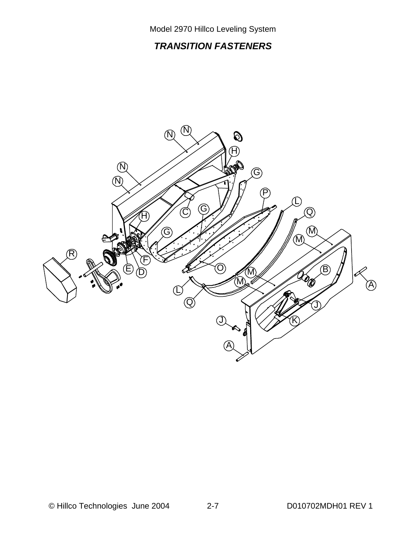# *TRANSITION FASTENERS*

![](_page_10_Figure_2.jpeg)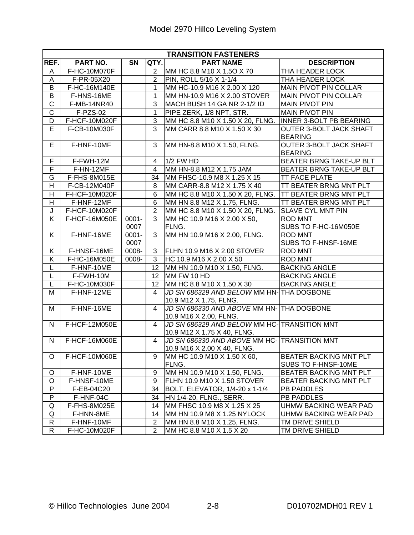|                         | <b>TRANSITION FASTENERS</b> |           |                 |                                                                             |                                                      |  |  |  |
|-------------------------|-----------------------------|-----------|-----------------|-----------------------------------------------------------------------------|------------------------------------------------------|--|--|--|
| REF.                    | PART NO.                    | <b>SN</b> | <b>QTY.</b>     | <b>PART NAME</b>                                                            | <b>DESCRIPTION</b>                                   |  |  |  |
| A                       | F-HC-10M070F                |           | $2^{\circ}$     | MM HC 8.8 M10 X 1.5O X 70                                                   | THA HEADER LOCK                                      |  |  |  |
| A                       | F-PR-05X20                  |           | $\overline{2}$  | PIN, ROLL 5/16 X 1-1/4                                                      | THA HEADER LOCK                                      |  |  |  |
| B                       | F-HC-16M140E                |           | $\mathbf 1$     | MM HC-10.9 M16 X 2.00 X 120                                                 | <b>MAIN PIVOT PIN COLLAR</b>                         |  |  |  |
| B                       | F-HNS-16ME                  |           | $\mathbf{1}$    | MM HN-10.9 M16 X 2.00 STOVER                                                | <b>MAIN PIVOT PIN COLLAR</b>                         |  |  |  |
| $\overline{\text{C}}$   | F-MB-14NR40                 |           | 3               | MACH BUSH 14 GA NR 2-1/2 ID                                                 | <b>MAIN PIVOT PIN</b>                                |  |  |  |
| $\overline{\text{C}}$   | F-PZS-02                    |           | $\mathbf{1}$    | PIPE ZERK, 1/8 NPT, STR.                                                    | <b>MAIN PIVOT PIN</b>                                |  |  |  |
| D                       | F-HCF-10M020F               |           | 3               | MM HC 8.8 M10 X 1.50 X 20, FLNG.                                            | INNER 3-BOLT PB BEARING                              |  |  |  |
| E                       | F-CB-10M030F                |           | $\overline{3}$  | MM CARR 8.8 M10 X 1.50 X 30                                                 | <b>OUTER 3-BOLT JACK SHAFT</b><br><b>BEARING</b>     |  |  |  |
| E                       | F-HNF-10MF                  |           | 3               | MM HN-8.8 M10 X 1.50, FLNG.                                                 | <b>OUTER 3-BOLT JACK SHAFT</b><br><b>BEARING</b>     |  |  |  |
| $\overline{F}$          | F-FWH-12M                   |           | 4               | 1/2 FW HD                                                                   | <b>BEATER BRNG TAKE-UP BLT</b>                       |  |  |  |
| F                       | F-HN-12MF                   |           | 4               | MM HN-8.8 M12 X 1.75 JAM                                                    | BEATER BRNG TAKE-UP BLT                              |  |  |  |
| G                       | F-FHS-8M015E                |           | 34              | MM FHSC-10.9 M8 X 1.25 X 15                                                 | <b>TT FACE PLATE</b>                                 |  |  |  |
| H                       | F-CB-12M040F                |           | 8               | MM CARR-8.8 M12 X 1.75 X 40                                                 | <b>TT BEATER BRNG MNT PLT</b>                        |  |  |  |
| H                       | F-HCF-10M020F               |           | 6               | MM HC 8.8 M10 X 1.50 X 20, FLNG.                                            | <b>TT BEATER BRNG MNT PLT</b>                        |  |  |  |
| H                       | F-HNF-12MF                  |           | 6               | MM HN 8.8 M12 X 1.75, FLNG.                                                 | TT BEATER BRNG MNT PLT                               |  |  |  |
| J                       | F-HCF-10M020F               |           | $\overline{2}$  | MM HC 8.8 M10 X 1.50 X 20, FLNG.                                            | <b>SLAVE CYL MNT PIN</b>                             |  |  |  |
| K                       | F-HCF-16M050E               | $0001 -$  | 3               | MM HC 10.9 M16 X 2.00 X 50,                                                 | <b>ROD MNT</b>                                       |  |  |  |
|                         |                             | 0007      |                 | FLNG.                                                                       | SUBS TO F-HC-16M050E                                 |  |  |  |
| K.                      | F-HNF-16ME                  | $0001 -$  | $\overline{3}$  | MM HN 10.9 M16 X 2.00, FLNG.                                                | <b>ROD MNT</b>                                       |  |  |  |
|                         |                             | 0007      |                 |                                                                             | SUBS TO F-HNSF-16ME                                  |  |  |  |
| K                       | F-HNSF-16ME                 | 0008-     | 3 <sup>1</sup>  | <b>FLHN 10.9 M16 X 2.00 STOVER</b>                                          | <b>ROD MNT</b>                                       |  |  |  |
| $\overline{\mathsf{K}}$ | F-HC-16M050E                | 0008-     | $\overline{3}$  | HC 10.9 M16 X 2.00 X 50                                                     | <b>ROD MNT</b>                                       |  |  |  |
| Г                       | F-HNF-10ME                  |           | 12 <sup>2</sup> | MM HN 10.9 M10 X 1.50, FLNG.                                                | <b>BACKING ANGLE</b>                                 |  |  |  |
| L                       | F-FWH-10M                   |           | 12 <sup>°</sup> | MM FW 10 HD                                                                 | <b>BACKING ANGLE</b>                                 |  |  |  |
| L                       | F-HC-10M030F                |           | 12              | MM HC 8.8 M10 X 1.50 X 30                                                   | <b>BACKING ANGLE</b>                                 |  |  |  |
| M                       | F-HNF-12ME                  |           | 4               | JD SN 686329 AND BELOW MM HN-THA DOGBONE<br>10.9 M12 X 1.75, FLNG.          |                                                      |  |  |  |
| M                       | F-HNF-16ME                  |           | $\overline{4}$  | JD SN 686330 AND ABOVE MM HN- THA DOGBONE<br>10.9 M16 X 2.00, FLNG.         |                                                      |  |  |  |
| N                       | F-HCF-12M050E               |           | $\overline{4}$  | JD SN 686329 AND BELOW MM HC-TRANSITION MNT<br>10.9 M12 X 1.75 X 40, FLNG.  |                                                      |  |  |  |
| N                       | F-HCF-16M060E               |           | 4               | JD SN 686330 AND ABOVE MM HC- TRANSITION MNT<br>10.9 M16 X 2.00 X 40, FLNG. |                                                      |  |  |  |
| O                       | F-HCF-10M060E               |           | 9               | MM HC 10.9 M10 X 1.50 X 60,<br>FLNG.                                        | <b>BEATER BACKING MNT PLT</b><br>SUBS TO F-HNSF-10ME |  |  |  |
| O                       | F-HNF-10ME                  |           | 9               | MM HN 10.9 M10 X 1.50, FLNG.                                                | BEATER BACKING MNT PLT                               |  |  |  |
| O                       | F-HNSF-10ME                 |           | 9               | FLHN 10.9 M10 X 1.50 STOVER                                                 | BEATER BACKING MNT PLT                               |  |  |  |
| P                       | F-EB-04C20                  |           | 34              | BOLT, ELEVATOR, 1/4-20 x 1-1/4                                              | <b>PB PADDLES</b>                                    |  |  |  |
| P                       | F-HNF-04C                   |           | 34              | HN 1/4-20, FLNG., SERR.                                                     | PB PADDLES                                           |  |  |  |
| Q                       | F-FHS-8M025E                |           | 14              | MM FHSC 10.9 M8 X 1.25 X 25                                                 | UHMW BACKING WEAR PAD                                |  |  |  |
| Q                       | F-HNN-8ME                   |           | 14              | MM HN 10.9 M8 X 1.25 NYLOCK                                                 | UHMW BACKING WEAR PAD                                |  |  |  |
| R                       | F-HNF-10MF                  |           | $\overline{2}$  | MM HN 8.8 M10 X 1.25, FLNG.                                                 | TM DRIVE SHIELD                                      |  |  |  |
| R.                      | F-HC-10M020F                |           | $\overline{2}$  | MM HC 8.8 M10 X 1.5 X 20                                                    | TM DRIVE SHIELD                                      |  |  |  |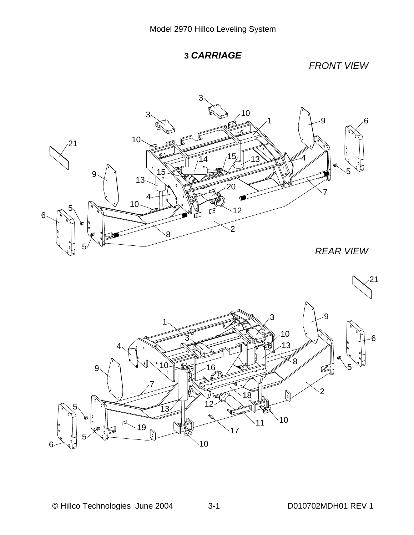![](_page_12_Figure_1.jpeg)

*FRONT VIEW*

![](_page_12_Picture_3.jpeg)

  $1 \times 3$  $\Omega$   $\frac{8}{6}$  5  $11^{10}$  ó  $\dot{10}$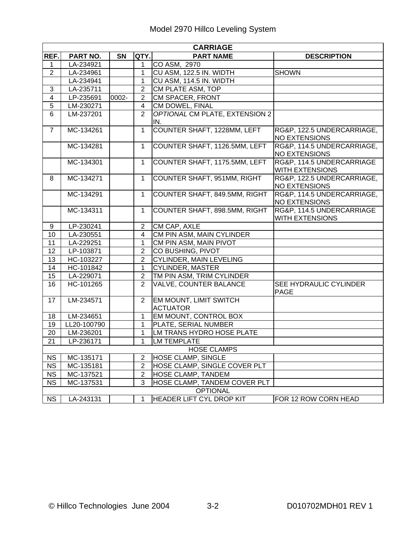|                         | <b>CARRIAGE</b> |           |                         |                                                  |                                                     |  |  |  |  |  |
|-------------------------|-----------------|-----------|-------------------------|--------------------------------------------------|-----------------------------------------------------|--|--|--|--|--|
| REF.                    | PART NO.        | <b>SN</b> | QTY.                    | <b>PART NAME</b>                                 | <b>DESCRIPTION</b>                                  |  |  |  |  |  |
| 1                       | LA-234921       |           | $\mathbf 1$             | CO ASM, 2970                                     |                                                     |  |  |  |  |  |
| $\overline{2}$          | LA-234961       |           | $\mathbf{1}$            | CU ASM, 122.5 IN. WIDTH                          | <b>SHOWN</b>                                        |  |  |  |  |  |
|                         | LA-234941       |           | $\mathbf{1}$            | CU ASM, 114.5 IN. WIDTH                          |                                                     |  |  |  |  |  |
| 3                       | LA-235711       |           | $\overline{2}$          | CM PLATE ASM, TOP                                |                                                     |  |  |  |  |  |
| $\overline{\mathbf{4}}$ | LP-235691       | 0002-     | $\overline{2}$          | CM SPACER, FRONT                                 |                                                     |  |  |  |  |  |
| $\overline{5}$          | LM-230271       |           | $\overline{\mathbf{4}}$ | CM DOWEL, FINAL                                  |                                                     |  |  |  |  |  |
| 6                       | LM-237201       |           | $\overline{2}$          | OPTIONAL CM PLATE, EXTENSION 2<br>IN.            |                                                     |  |  |  |  |  |
| $\overline{7}$          | MC-134261       |           | $\overline{1}$          | COUNTER SHAFT, 1228MM, LEFT                      | RG&P, 122.5 UNDERCARRIAGE,<br>NO EXTENSIONS         |  |  |  |  |  |
|                         | MC-134281       |           | $\mathbf{1}$            | COUNTER SHAFT, 1126.5MM, LEFT                    | RG&P, 114.5 UNDERCARRIAGE,<br><b>NO EXTENSIONS</b>  |  |  |  |  |  |
|                         | MC-134301       |           | $\mathbf{1}$            | COUNTER SHAFT, 1175.5MM, LEFT                    | RG&P, 114.5 UNDERCARRIAGE<br><b>WITH EXTENSIONS</b> |  |  |  |  |  |
| 8                       | MC-134271       |           | $\mathbf{1}$            | COUNTER SHAFT, 951MM, RIGHT                      | RG&P, 122.5 UNDERCARRIAGE,<br><b>NO EXTENSIONS</b>  |  |  |  |  |  |
|                         | MC-134291       |           | $\mathbf{1}$            | COUNTER SHAFT, 849.5MM, RIGHT                    | RG&P, 114.5 UNDERCARRIAGE,<br><b>NO EXTENSIONS</b>  |  |  |  |  |  |
|                         | MC-134311       |           | $\mathbf{1}$            | COUNTER SHAFT, 898.5MM, RIGHT                    | RG&P, 114.5 UNDERCARRIAGE<br><b>WITH EXTENSIONS</b> |  |  |  |  |  |
| 9                       | LP-230241       |           | $\overline{2}$          | CM CAP, AXLE                                     |                                                     |  |  |  |  |  |
| 10                      | LA-230551       |           | $\overline{4}$          | CM PIN ASM, MAIN CYLINDER                        |                                                     |  |  |  |  |  |
| 11                      | LA-229251       |           | $\mathbf{1}$            | CM PIN ASM, MAIN PIVOT                           |                                                     |  |  |  |  |  |
| 12                      | LP-103871       |           | $\overline{2}$          | CO BUSHING, PIVOT                                |                                                     |  |  |  |  |  |
| 13                      | HC-103227       |           | $\overline{2}$          | CYLINDER, MAIN LEVELING                          |                                                     |  |  |  |  |  |
| 14                      | HC-101842       |           | $\mathbf{1}$            | <b>CYLINDER, MASTER</b>                          |                                                     |  |  |  |  |  |
| 15                      | LA-229071       |           | $\overline{2}$          | TM PIN ASM, TRIM CYLINDER                        |                                                     |  |  |  |  |  |
| 16                      | HC-101265       |           | 2                       | VALVE, COUNTER BALANCE                           | SEE HYDRAULIC CYLINDER<br><b>PAGE</b>               |  |  |  |  |  |
| 17                      | LM-234571       |           | $\overline{2}$          | <b>EM MOUNT, LIMIT SWITCH</b><br><b>ACTUATOR</b> |                                                     |  |  |  |  |  |
| 18                      | LM-234651       |           | $\mathbf{1}$            | EM MOUNT, CONTROL BOX                            |                                                     |  |  |  |  |  |
| 19                      | LL20-100790     |           | 1                       | PLATE, SERIAL NUMBER                             |                                                     |  |  |  |  |  |
| 20                      | LM-236201       |           | 1                       | LM TRANS HYDRO HOSE PLATE                        |                                                     |  |  |  |  |  |
| 21                      | LP-236171       |           | 1                       | <b>LM TEMPLATE</b>                               |                                                     |  |  |  |  |  |
|                         |                 |           |                         | <b>HOSE CLAMPS</b>                               |                                                     |  |  |  |  |  |
| <b>NS</b>               | MC-135171       |           | 2                       | <b>HOSE CLAMP, SINGLE</b>                        |                                                     |  |  |  |  |  |
| <b>NS</b>               | MC-135181       |           | 2                       | HOSE CLAMP, SINGLE COVER PLT                     |                                                     |  |  |  |  |  |
| <b>NS</b>               | MC-137521       |           | $\overline{2}$          | <b>HOSE CLAMP, TANDEM</b>                        |                                                     |  |  |  |  |  |
| <b>NS</b>               | MC-137531       |           | 3                       | HOSE CLAMP, TANDEM COVER PLT                     |                                                     |  |  |  |  |  |
|                         |                 |           |                         | <b>OPTIONAL</b>                                  |                                                     |  |  |  |  |  |
| <b>NS</b>               | LA-243131       |           | 1.                      | <b>HEADER LIFT CYL DROP KIT</b>                  | FOR 12 ROW CORN HEAD                                |  |  |  |  |  |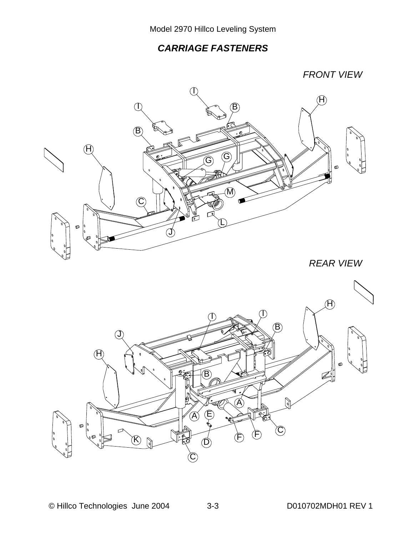# *CARRIAGE FASTENERS*

*FRONT VIEW*

![](_page_14_Picture_3.jpeg)

*REAR VIEW* 

![](_page_14_Picture_5.jpeg)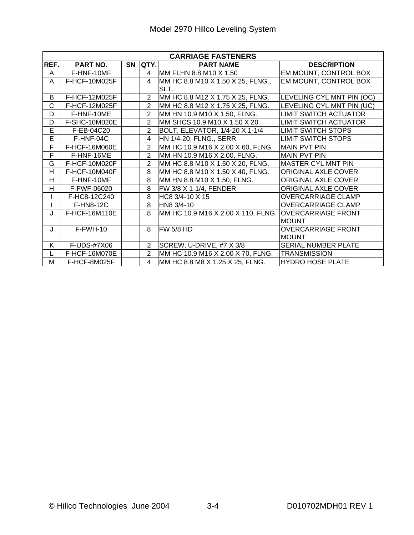|                | <b>CARRIAGE FASTENERS</b> |  |                                     |                                                       |                              |  |  |  |
|----------------|---------------------------|--|-------------------------------------|-------------------------------------------------------|------------------------------|--|--|--|
| REF.           | PART NO.                  |  | $\overline{\text{SN}}$ $\vert$ QTY. | <b>PART NAME</b>                                      | <b>DESCRIPTION</b>           |  |  |  |
| A              | F-HNF-10MF                |  | $\overline{4}$                      | MM FLHN 8.8 M10 X 1.50                                | EM MOUNT, CONTROL BOX        |  |  |  |
| A              | F-HCF-10M025F             |  | $\overline{\mathbf{4}}$             | MM HC 8.8 M10 X 1.50 X 25, FLNG.,                     | EM MOUNT, CONTROL BOX        |  |  |  |
|                |                           |  |                                     | SLT.                                                  |                              |  |  |  |
| В              | F-HCF-12M025F             |  | $\overline{2}$                      | MM HC 8.8 M12 X 1.75 X 25, FLNG.                      | LEVELING CYL MNT PIN (OC)    |  |  |  |
| C              | F-HCF-12M025F             |  | $\overline{2}$                      | MM HC 8.8 M12 X 1.75 X 25, FLNG.                      | LEVELING CYL MNT PIN (UC)    |  |  |  |
| D              | F-HNF-10ME                |  | $\overline{2}$                      | MM HN 10.9 M10 X 1.50, FLNG.                          | <b>LIMIT SWITCH ACTUATOR</b> |  |  |  |
| D              | <b>F-SHC-10M020E</b>      |  | $\overline{2}$                      | MM SHCS 10.9 M10 X 1.50 X 20                          | <b>LIMIT SWITCH ACTUATOR</b> |  |  |  |
| $\overline{E}$ | F-EB-04C20                |  | $\overline{2}$                      | BOLT, ELEVATOR, 1/4-20 X 1-1/4                        | <b>LIMIT SWITCH STOPS</b>    |  |  |  |
| Ē              | F-HNF-04C                 |  | 4                                   | HN 1/4-20, FLNG., SERR.                               | <b>LIMIT SWITCH STOPS</b>    |  |  |  |
| F              | F-HCF-16M060E             |  | $\overline{2}$                      | MM HC 10.9 M16 X 2.00 X 60, FLNG.                     | <b>IMAIN PVT PIN</b>         |  |  |  |
| F              | F-HNF-16ME                |  | $\overline{2}$                      | MM HN 10.9 M16 X 2.00, FLNG.                          | <b>MAIN PVT PIN</b>          |  |  |  |
| G              | F-HCF-10M020F             |  | $\overline{2}$                      | MM HC 8.8 M10 X 1.50 X 20, FLNG.                      | <b>MASTER CYL MNT PIN</b>    |  |  |  |
| H              | F-HCF-10M040F             |  | 8                                   | MM HC 8.8 M10 X 1.50 X 40, FLNG.                      | <b>ORIGINAL AXLE COVER</b>   |  |  |  |
| H              | F-HNF-10MF                |  | 8                                   | MM HN 8.8 M10 X 1.50, FLNG.                           | ORIGINAL AXLE COVER          |  |  |  |
| H              | F-FWF-06020               |  | $\overline{8}$                      | FW 3/8 X 1-1/4, FENDER                                | ORIGINAL AXLE COVER          |  |  |  |
|                | F-HC8-12C240              |  | $\overline{8}$                      | HC8 3/4-10 X 15                                       | <b>OVERCARRIAGE CLAMP</b>    |  |  |  |
|                | F-HN8-12C                 |  | 8                                   | HN8 3/4-10                                            | <b>OVERCARRIAGE CLAMP</b>    |  |  |  |
| J              | F-HCF-16M110E             |  | 8                                   | MM HC 10.9 M16 X 2.00 X 110, FLNG. OVERCARRIAGE FRONT |                              |  |  |  |
|                |                           |  |                                     |                                                       | <b>MOUNT</b>                 |  |  |  |
| J              | F-FWH-10                  |  | 8                                   | <b>FW 5/8 HD</b>                                      | <b>OVERCARRIAGE FRONT</b>    |  |  |  |
|                |                           |  |                                     |                                                       | <b>MOUNT</b>                 |  |  |  |
| K.             | F-UDS-#7X06               |  | $\overline{2}$                      | SCREW, U-DRIVE, #7 X 3/8                              | <b>SERIAL NUMBER PLATE</b>   |  |  |  |
|                | F-HCF-16M070E             |  | $\overline{2}$                      | MM HC 10.9 M16 X 2.00 X 70, FLNG.                     | <b>TRANSMISSION</b>          |  |  |  |
| M              | F-HCF-8M025F              |  | 4                                   | MM HC 8.8 M8 X 1.25 X 25, FLNG.                       | <b>HYDRO HOSE PLATE</b>      |  |  |  |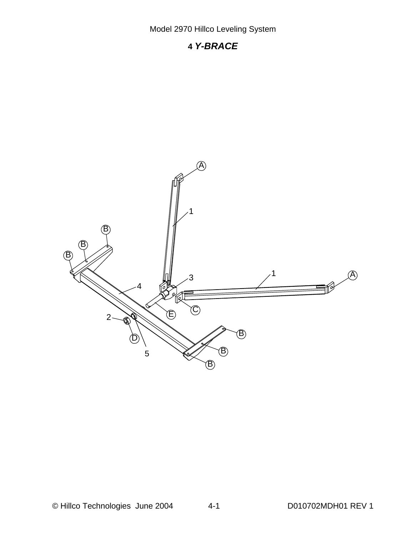# **4** *Y-BRACE*

![](_page_16_Figure_2.jpeg)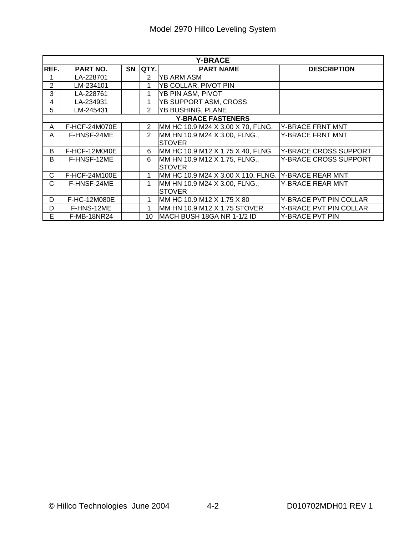| <b>Y-BRACE</b> |                 |           |                |                                                |                              |  |  |
|----------------|-----------------|-----------|----------------|------------------------------------------------|------------------------------|--|--|
| REF.           | <b>PART NO.</b> | <b>SN</b> | <b>QTY.</b>    | <b>PART NAME</b>                               | <b>DESCRIPTION</b>           |  |  |
|                | LA-228701       |           | 2              | IYB ARM ASM                                    |                              |  |  |
| 2              | LM-234101       |           | 1              | YB COLLAR, PIVOT PIN                           |                              |  |  |
| 3              | LA-228761       |           |                | YB PIN ASM, PIVOT                              |                              |  |  |
| 4              | LA-234931       |           | 1              | YB SUPPORT ASM, CROSS                          |                              |  |  |
| 5              | LM-245431       |           | $\overline{2}$ | <b>YB BUSHING, PLANE</b>                       |                              |  |  |
|                |                 |           |                | <b>Y-BRACE FASTENERS</b>                       |                              |  |  |
| A              | F-HCF-24M070E   |           | $\overline{2}$ | MM HC 10.9 M24 X 3.00 X 70, FLNG.              | Y-BRACE FRNT MNT             |  |  |
| A              | F-HNSF-24ME     |           | 2              | MM HN 10.9 M24 X 3.00, FLNG.,<br><b>STOVER</b> | Y-BRACE FRNT MNT             |  |  |
| B              | F-HCF-12M040E   |           | 6              | MM HC 10.9 M12 X 1.75 X 40, FLNG.              | Y-BRACE CROSS SUPPORT        |  |  |
| B              | F-HNSF-12ME     |           | $6\phantom{1}$ | MM HN 10.9 M12 X 1.75, FLNG.,<br><b>STOVER</b> | <b>Y-BRACE CROSS SUPPORT</b> |  |  |
| С              | F-HCF-24M100E   |           | 1              | MM HC 10.9 M24 X 3.00 X 110, FLNG.             | Y-BRACE REAR MNT             |  |  |
| С              | F-HNSF-24ME     |           | 1              | MM HN 10.9 M24 X 3.00, FLNG.,<br><b>STOVER</b> | <b>Y-BRACE REAR MNT</b>      |  |  |
| D              | F-HC-12M080E    |           | 1              | MM HC 10.9 M12 X 1.75 X 80                     | Y-BRACE PVT PIN COLLAR       |  |  |
| D              | F-HNS-12ME      |           | 1              | MM HN 10.9 M12 X 1.75 STOVER                   | Y-BRACE PVT PIN COLLAR       |  |  |
| E              | F-MB-18NR24     |           | 10             | MACH BUSH 18GA NR 1-1/2 ID                     | Y-BRACE PVT PIN              |  |  |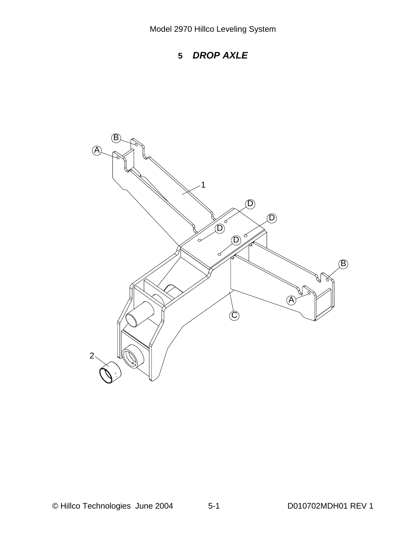![](_page_18_Figure_1.jpeg)

![](_page_18_Picture_2.jpeg)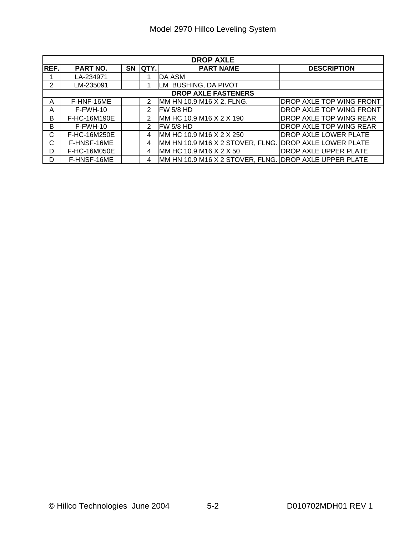| <b>DROP AXLE</b> |                            |    |             |                                                        |                                 |  |  |  |
|------------------|----------------------------|----|-------------|--------------------------------------------------------|---------------------------------|--|--|--|
| REF.             | PART NO.                   | SN | <b>QTY.</b> | <b>PART NAME</b>                                       | <b>DESCRIPTION</b>              |  |  |  |
|                  | LA-234971                  |    |             | DA ASM                                                 |                                 |  |  |  |
| $\overline{2}$   | LM-235091                  |    |             | LM BUSHING, DA PIVOT                                   |                                 |  |  |  |
|                  | <b>DROP AXLE FASTENERS</b> |    |             |                                                        |                                 |  |  |  |
| A                | F-HNF-16ME                 |    | 2           | MM HN 10.9 M16 X 2, FLNG.                              | <b>DROP AXLE TOP WING FRONT</b> |  |  |  |
| A                | $F-FWH-10$                 |    | 2           | FW 5/8 HD                                              | <b>DROP AXLE TOP WING FRONT</b> |  |  |  |
| B                | F-HC-16M190E               |    | 2           | MM HC 10.9 M16 X 2 X 190                               | <b>DROP AXLE TOP WING REAR</b>  |  |  |  |
| B                | $F-FWH-10$                 |    | 2           | IFW 5/8 HD                                             | <b>DROP AXLE TOP WING REAR</b>  |  |  |  |
| С                | F-HC-16M250E               |    | 4           | MM HC 10.9 M16 X 2 X 250                               | <b>DROP AXLE LOWER PLATE</b>    |  |  |  |
| C.               | F-HNSF-16ME                |    | 4           | MM HN 10.9 M16 X 2 STOVER, FLNG. DROP AXLE LOWER PLATE |                                 |  |  |  |
| D                | F-HC-16M050E               |    | 4           | MM HC 10.9 M16 X 2 X 50                                | <b>DROP AXLE UPPER PLATE</b>    |  |  |  |
| D                | F-HNSF-16ME                |    | 4           | MM HN 10.9 M16 X 2 STOVER, FLNG. DROP AXLE UPPER PLATE |                                 |  |  |  |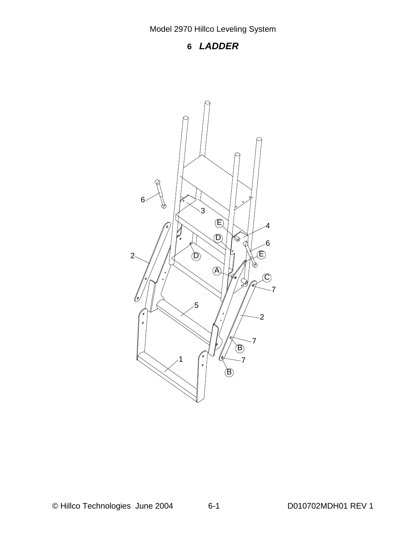# **6** *LADDER*

![](_page_20_Picture_2.jpeg)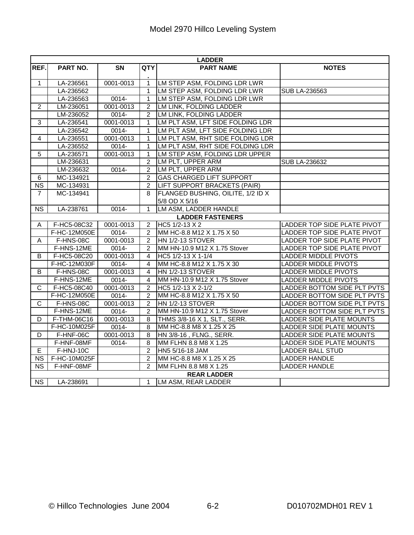|                        | <b>LADDER</b> |               |                |                                   |                                 |  |  |  |
|------------------------|---------------|---------------|----------------|-----------------------------------|---------------------------------|--|--|--|
| REF.                   | PART NO.      | <b>SN</b>     | <b>QTY</b>     | <b>PART NAME</b>                  | <b>NOTES</b>                    |  |  |  |
|                        |               |               |                |                                   |                                 |  |  |  |
| 1                      | LA-236561     | 0001-0013     | $\mathbf{1}$   | LM STEP ASM, FOLDING LDR LWR      |                                 |  |  |  |
|                        | LA-236562     |               | $\mathbf{1}$   | LM STEP ASM, FOLDING LDR LWR      | <b>SUB LA-236563</b>            |  |  |  |
|                        | LA-236563     | $0014 -$      | $\mathbf{1}$   | LM STEP ASM, FOLDING LDR LWR      |                                 |  |  |  |
| $\overline{2}$         | LM-236051     | 0001-0013     | $\overline{2}$ | LM LINK, FOLDING LADDER           |                                 |  |  |  |
|                        | LM-236052     | $0014 -$      | $\overline{2}$ | LM LINK, FOLDING LADDER           |                                 |  |  |  |
| 3                      | LA-236541     | 0001-0013     | 1              | LM PLT ASM, LFT SIDE FOLDING LDR  |                                 |  |  |  |
|                        | LA-236542     | 0014-         | $\mathbf{1}$   | LM PLT ASM, LFT SIDE FOLDING LDR  |                                 |  |  |  |
| 4                      | LA-236551     | $0001 - 0013$ | $\mathbf{1}$   | LM PLT ASM, RHT SIDE FOLDING LDR  |                                 |  |  |  |
|                        | LA-236552     | 0014-         | $\mathbf{1}$   | LM PLT ASM, RHT SIDE FOLDING LDR  |                                 |  |  |  |
| 5                      | LA-236571     | 0001-0013     | $\mathbf{1}$   | LM STEP ASM, FOLDING LDR UPPER    |                                 |  |  |  |
|                        | LM-236631     |               | $\overline{2}$ | LM PLT, UPPER ARM                 | <b>SUB LA-236632</b>            |  |  |  |
|                        | LM-236632     | $0014 -$      | $\overline{2}$ | LM PLT, UPPER ARM                 |                                 |  |  |  |
| $6\phantom{1}$         | MC-134921     |               | $\overline{2}$ | <b>GAS CHARGED LIFT SUPPORT</b>   |                                 |  |  |  |
| <b>NS</b>              | MC-134931     |               | $\overline{2}$ | LIFT SUPPORT BRACKETS (PAIR)      |                                 |  |  |  |
| $\overline{7}$         | MC-134941     |               | 8              | FLANGED BUSHING, OILITE, 1/2 ID X |                                 |  |  |  |
|                        |               |               |                | 5/8 OD X 5/16                     |                                 |  |  |  |
| $\overline{\text{NS}}$ | LA-238761     | $0014 -$      | $\mathbf{1}$   | LM ASM, LADDER HANDLE             |                                 |  |  |  |
|                        |               |               |                | <b>LADDER FASTENERS</b>           |                                 |  |  |  |
| Α                      | F-HC5-08C32   | 0001-0013     | $\overline{2}$ | HC5 1/2-13 X 2                    | LADDER TOP SIDE PLATE PIVOT     |  |  |  |
|                        | F-HC-12M050E  | 0014-         | $\overline{2}$ | MM HC-8.8 M12 X 1.75 X 50         | LADDER TOP SIDE PLATE PIVOT     |  |  |  |
| Α                      | F-HNS-08C     | 0001-0013     | $\overline{c}$ | HN 1/2-13 STOVER                  | LADDER TOP SIDE PLATE PIVOT     |  |  |  |
|                        | F-HNS-12ME    | 0014-         | $\overline{2}$ | MM HN-10.9 M12 X 1.75 Stover      | LADDER TOP SIDE PLATE PIVOT     |  |  |  |
| B                      | F-HC5-08C20   | $0001 - 0013$ | $\overline{4}$ | HC5 1/2-13 X 1-1/4                | LADDER MIDDLE PIVOTS            |  |  |  |
|                        | F-HC-12M030F  | 0014-         | 4              | MM HC-8.8 M12 X 1.75 X 30         | LADDER MIDDLE PIVOTS            |  |  |  |
| B                      | F-HNS-08C     | 0001-0013     | 4              | HN 1/2-13 STOVER                  | <b>LADDER MIDDLE PIVOTS</b>     |  |  |  |
|                        | F-HNS-12ME    | 0014-         | $\overline{4}$ | MM HN-10.9 M12 X 1.75 Stover      | <b>LADDER MIDDLE PIVOTS</b>     |  |  |  |
| $\overline{C}$         | F-HC5-08C40   | 0001-0013     | $\overline{2}$ | HC5 1/2-13 X 2-1/2                | LADDER BOTTOM SIDE PLT PVTS     |  |  |  |
|                        | F-HC-12M050E  | 0014-         | $\overline{2}$ | MM HC-8.8 M12 X 1.75 X 50         | LADDER BOTTOM SIDE PLT PVTS     |  |  |  |
| $\mathsf{C}$           | F-HNS-08C     | 0001-0013     | $\overline{c}$ | HN 1/2-13 STOVER                  | LADDER BOTTOM SIDE PLT PVTS     |  |  |  |
|                        | F-HNS-12ME    | 0014-         | $\overline{2}$ | MM HN-10.9 M12 X 1.75 Stover      | LADDER BOTTOM SIDE PLT PVTS     |  |  |  |
| D                      | F-THM-06C16   | 0001-0013     | 8              | THMS 3/8-16 X 1, SLT., SERR.      | <b>LADDER SIDE PLATE MOUNTS</b> |  |  |  |
|                        | F-HC-10M025F  | 0014-         | $\overline{8}$ | MM HC-8.8 M8 X 1.25 X 25          | LADDER SIDE PLATE MOUNTS        |  |  |  |
| D                      | F-HNF-06C     | 0001-0013     | 8              | HN 3/8-16, FLNG., SERR.           | LADDER SIDE PLATE MOUNTS        |  |  |  |
|                        | F-HNF-08MF    | 0014-         | 8              | MM FLHN 8.8 M8 X 1.25             | LADDER SIDE PLATE MOUNTS        |  |  |  |
| $\overline{E}$         | F-HNJ-10C     |               | $\overline{2}$ | HN5 5/16-18 JAM                   | <b>LADDER BALL STUD</b>         |  |  |  |
| $\overline{\text{NS}}$ | F-HC-10M025F  |               | $\overline{2}$ | MM HC-8.8 M8 X 1.25 X 25          | <b>LADDER HANDLE</b>            |  |  |  |
| <b>NS</b>              | F-HNF-08MF    |               | $\overline{2}$ | MM FLHN 8.8 M8 X 1.25             | <b>LADDER HANDLE</b>            |  |  |  |
|                        |               |               |                | <b>REAR LADDER</b>                |                                 |  |  |  |
| <b>NS</b>              | LA-238691     |               | $\mathbf{1}$   | LM ASM, REAR LADDER               |                                 |  |  |  |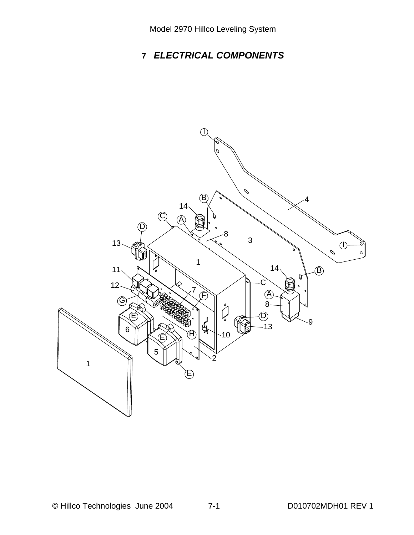# **7** *ELECTRICAL COMPONENTS*

![](_page_22_Figure_2.jpeg)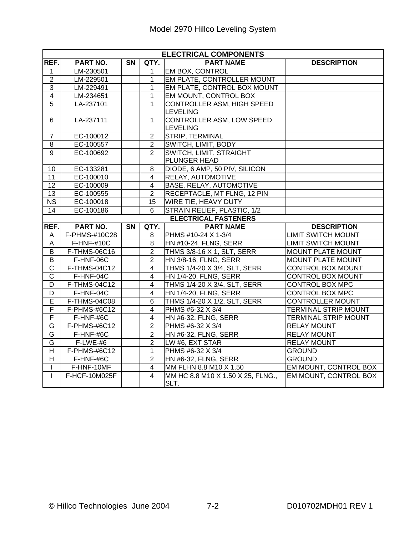|                         | <b>ELECTRICAL COMPONENTS</b> |           |                         |                                                      |                             |  |  |  |
|-------------------------|------------------------------|-----------|-------------------------|------------------------------------------------------|-----------------------------|--|--|--|
| REF.                    | PART NO.                     | <b>SN</b> | QTY.                    | <b>PART NAME</b>                                     | <b>DESCRIPTION</b>          |  |  |  |
| 1                       | LM-230501                    |           | 1                       | EM BOX, CONTROL                                      |                             |  |  |  |
| $\overline{2}$          | LM-229501                    |           | $\mathbf{1}$            | <b>EM PLATE, CONTROLLER MOUNT</b>                    |                             |  |  |  |
| $\overline{3}$          | LM-229491                    |           | $\mathbf{1}$            | EM PLATE, CONTROL BOX MOUNT                          |                             |  |  |  |
| $\overline{\mathbf{4}}$ | LM-234651                    |           | $\mathbf{1}$            | EM MOUNT, CONTROL BOX                                |                             |  |  |  |
| $\overline{5}$          | LA-237101                    |           | $\mathbf{1}$            | <b>CONTROLLER ASM, HIGH SPEED</b><br><b>LEVELING</b> |                             |  |  |  |
| 6                       | LA-237111                    |           | $\overline{1}$          | <b>CONTROLLER ASM, LOW SPEED</b><br>LEVELING         |                             |  |  |  |
| $\overline{7}$          | EC-100012                    |           | $\overline{2}$          | <b>STRIP, TERMINAL</b>                               |                             |  |  |  |
| 8                       | EC-100557                    |           | $\overline{2}$          | SWITCH, LIMIT, BODY                                  |                             |  |  |  |
| $\overline{9}$          | EC-100692                    |           | $\overline{2}$          | SWITCH, LIMIT, STRAIGHT<br>PLUNGER HEAD              |                             |  |  |  |
| 10                      | EC-133281                    |           | 8                       | DIODE, 6 AMP, 50 PIV, SILICON                        |                             |  |  |  |
| 11                      | EC-100010                    |           | $\overline{\mathbf{4}}$ | RELAY, AUTOMOTIVE                                    |                             |  |  |  |
| $\overline{12}$         | EC-100009                    |           | $\overline{4}$          | <b>BASE, RELAY, AUTOMOTIVE</b>                       |                             |  |  |  |
| $\overline{13}$         | EC-100555                    |           | $\overline{2}$          | RECEPTACLE, MT FLNG, 12 PIN                          |                             |  |  |  |
| <b>NS</b>               | EC-100018                    |           | 15                      | WIRE TIE, HEAVY DUTY                                 |                             |  |  |  |
| 14                      | EC-100186                    |           | 6                       | STRAIN RELIEF, PLASTIC, 1/2                          |                             |  |  |  |
|                         |                              |           |                         | <b>ELECTRICAL FASTENERS</b>                          |                             |  |  |  |
| REF.                    | PART NO.                     | SN        | QTY.                    | <b>PART NAME</b>                                     | <b>DESCRIPTION</b>          |  |  |  |
| A                       | F-PHMS-#10C28                |           | 8                       | PHMS #10-24 X 1-3/4                                  | <b>LIMIT SWITCH MOUNT</b>   |  |  |  |
| $\mathsf A$             | <b>F-HNF-#10C</b>            |           | $\overline{8}$          | HN #10-24, FLNG, SERR                                | <b>LIMIT SWITCH MOUNT</b>   |  |  |  |
| B                       | F-THMS-06C16                 |           | $\overline{2}$          | THMS 3/8-16 X 1, SLT, SERR                           | <b>MOUNT PLATE MOUNT</b>    |  |  |  |
| $\overline{B}$          | F-HNF-06C                    |           | $\overline{2}$          | HN 3/8-16, FLNG, SERR                                | <b>MOUNT PLATE MOUNT</b>    |  |  |  |
| $\overline{C}$          | F-THMS-04C12                 |           | $\overline{4}$          | THMS 1/4-20 X 3/4, SLT, SERR                         | <b>CONTROL BOX MOUNT</b>    |  |  |  |
| $\overline{\text{c}}$   | F-HNF-04C                    |           | $\overline{\mathbf{4}}$ | <b>HN 1/4-20, FLNG, SERR</b>                         | <b>CONTROL BOX MOUNT</b>    |  |  |  |
| D                       | F-THMS-04C12                 |           | $\overline{4}$          | THMS 1/4-20 X 3/4, SLT, SERR                         | <b>CONTROL BOX MPC</b>      |  |  |  |
| D                       | F-HNF-04C                    |           | $\overline{4}$          | HN 1/4-20, FLNG, SERR                                | CONTROL BOX MPC             |  |  |  |
| $\overline{\mathsf{E}}$ | F-THMS-04C08                 |           | $\overline{6}$          | THMS 1/4-20 X 1/2, SLT, SERR                         | <b>CONTROLLER MOUNT</b>     |  |  |  |
| F                       | F-PHMS-#6C12                 |           | $\overline{4}$          | PHMS #6-32 X 3/4                                     | <b>TERMINAL STRIP MOUNT</b> |  |  |  |
| $\overline{F}$          | F-HNF-#6C                    |           | $\overline{\mathbf{4}}$ | HN #6-32, FLNG, SERR                                 | <b>TERMINAL STRIP MOUNT</b> |  |  |  |
| G                       | F-PHMS-#6C12                 |           | $\overline{2}$          | PHMS #6-32 X 3/4                                     | <b>RELAY MOUNT</b>          |  |  |  |
| $\overline{\mathsf{G}}$ | F-HNF-#6C                    |           | $\overline{2}$          | HN #6-32, FLNG, SERR                                 | <b>RELAY MOUNT</b>          |  |  |  |
| $\overline{\mathsf{G}}$ | F-LWE-#6                     |           | $\overline{2}$          | LW #6, EXT STAR                                      | <b>RELAY MOUNT</b>          |  |  |  |
| H                       | F-PHMS-#6C12                 |           | $\mathbf{1}$            | PHMS #6-32 X 3/4                                     | <b>GROUND</b>               |  |  |  |
| $\overline{\mathsf{H}}$ | F-HNF-#6C                    |           | $\overline{2}$          | HN #6-32, FLNG, SERR                                 | <b>GROUND</b>               |  |  |  |
| $\mathbf{I}$            | F-HNF-10MF                   |           | $\overline{4}$          | MM FLHN 8.8 M10 X 1.50                               | EM MOUNT, CONTROL BOX       |  |  |  |
| $\mathbf{I}$            | F-HCF-10M025F                |           | 4                       | MM HC 8.8 M10 X 1.50 X 25, FLNG.,<br>SLT.            | EM MOUNT, CONTROL BOX       |  |  |  |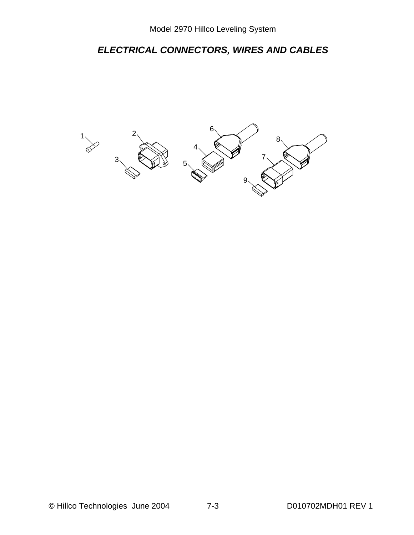# *ELECTRICAL CONNECTORS, WIRES AND CABLES*

![](_page_24_Figure_2.jpeg)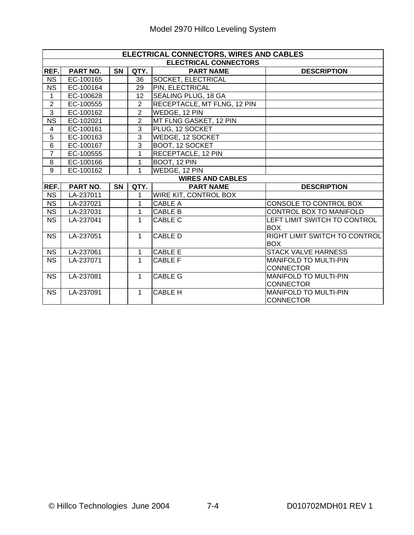|                        | ELECTRICAL CONNECTORS, WIRES AND CABLES |           |                |                              |                               |  |  |  |  |
|------------------------|-----------------------------------------|-----------|----------------|------------------------------|-------------------------------|--|--|--|--|
|                        |                                         |           |                | <b>ELECTRICAL CONNECTORS</b> |                               |  |  |  |  |
| REF.                   | PART NO.                                | <b>SN</b> | QTY.           | <b>PART NAME</b>             | <b>DESCRIPTION</b>            |  |  |  |  |
| <b>NS</b>              | EC-100165                               |           | 36             | SOCKET, ELECTRICAL           |                               |  |  |  |  |
| <b>NS</b>              | EC-100164                               |           | 29             | PIN, ELECTRICAL              |                               |  |  |  |  |
| 1                      | EC-100628                               |           | 12             | SEALING PLUG, 18 GA          |                               |  |  |  |  |
| $\overline{2}$         | EC-100555                               |           | $\overline{2}$ | RECEPTACLE, MT FLNG, 12 PIN  |                               |  |  |  |  |
| $\overline{3}$         | EC-100162                               |           | $\overline{2}$ | WEDGE, 12 PIN                |                               |  |  |  |  |
| <b>NS</b>              | EC-102021                               |           | $\overline{2}$ | MT FLNG GASKET, 12 PIN       |                               |  |  |  |  |
| 4                      | EC-100161                               |           | $\overline{3}$ | PLUG, 12 SOCKET              |                               |  |  |  |  |
| $\overline{5}$         | EC-100163                               |           | $\overline{3}$ | WEDGE, 12 SOCKET             |                               |  |  |  |  |
| $\overline{6}$         | EC-100167                               |           | $\overline{3}$ | BOOT, 12 SOCKET              |                               |  |  |  |  |
| $\overline{7}$         | EC-100555                               |           | 1              | RECEPTACLE, 12 PIN           |                               |  |  |  |  |
| $\overline{8}$         | EC-100166                               |           | 1              | BOOT, 12 PIN                 |                               |  |  |  |  |
| $\overline{9}$         | EC-100162                               |           | 1              | WEDGE, 12 PIN                |                               |  |  |  |  |
|                        |                                         |           |                | <b>WIRES AND CABLES</b>      |                               |  |  |  |  |
| REF.                   | PART NO.                                | <b>SN</b> | QTY.           | <b>PART NAME</b>             | <b>DESCRIPTION</b>            |  |  |  |  |
| <b>NS</b>              | LA-237011                               |           | 1              | <b>WIRE KIT, CONTROL BOX</b> |                               |  |  |  |  |
| <b>NS</b>              | LA-237021                               |           | 1              | <b>CABLE A</b>               | CONSOLE TO CONTROL BOX        |  |  |  |  |
| $\overline{\text{NS}}$ | LA-237031                               |           | 1              | <b>CABLE B</b>               | CONTROL BOX TO MANIFOLD       |  |  |  |  |
| <b>NS</b>              | LA-237041                               |           | 1              | CABLE C                      | LEFT LIMIT SWITCH TO CONTROL  |  |  |  |  |
|                        |                                         |           |                |                              | <b>BOX</b>                    |  |  |  |  |
| <b>NS</b>              | LA-237051                               |           | 1              | <b>CABLE D</b>               | RIGHT LIMIT SWITCH TO CONTROL |  |  |  |  |
|                        |                                         |           |                |                              | <b>BOX</b>                    |  |  |  |  |
| <b>NS</b>              | LA-237061                               |           | 1              | <b>CABLE E</b>               | <b>STACK VALVE HARNESS</b>    |  |  |  |  |
| <b>NS</b>              | LA-237071                               |           | 1              | <b>CABLE F</b>               | <b>MANIFOLD TO MULTI-PIN</b>  |  |  |  |  |
|                        |                                         |           |                |                              | <b>CONNECTOR</b>              |  |  |  |  |
| <b>NS</b>              | LA-237081                               |           | $\mathbf{1}$   | <b>CABLE G</b>               | <b>MANIFOLD TO MULTI-PIN</b>  |  |  |  |  |
|                        |                                         |           |                |                              | <b>CONNECTOR</b>              |  |  |  |  |
| <b>NS</b>              | LA-237091                               |           | $\mathbf{1}$   | <b>CABLE H</b>               | <b>MANIFOLD TO MULTI-PIN</b>  |  |  |  |  |
|                        |                                         |           |                |                              | <b>CONNECTOR</b>              |  |  |  |  |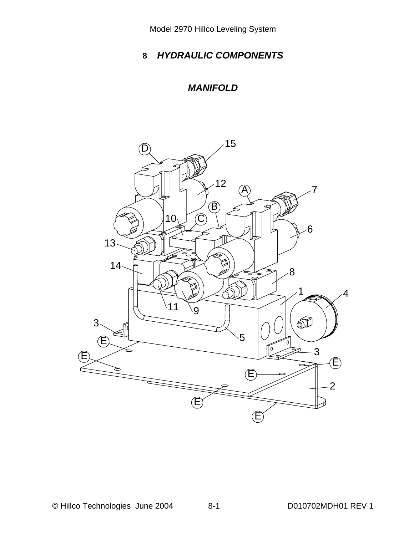# **8** *HYDRAULIC COMPONENTS*

# *MANIFOLD*

![](_page_26_Picture_3.jpeg)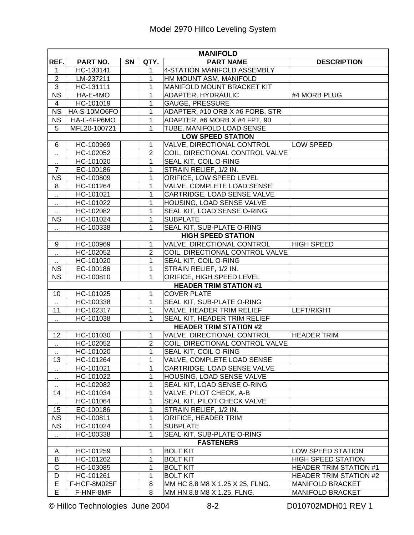| <b>MANIFOLD</b>      |              |    |                   |                                                               |                               |  |  |  |  |
|----------------------|--------------|----|-------------------|---------------------------------------------------------------|-------------------------------|--|--|--|--|
| REF.                 | PART NO.     | SN | QTY.              | <b>PART NAME</b>                                              | <b>DESCRIPTION</b>            |  |  |  |  |
| $\mathbf 1$          | HC-133141    |    | 1                 | 4-STATION MANIFOLD ASSEMBLY                                   |                               |  |  |  |  |
| $\overline{2}$       | LM-237211    |    | 1                 | HM MOUNT ASM, MANIFOLD                                        |                               |  |  |  |  |
| $\overline{3}$       | HC-131111    |    | 1                 | MANIFOLD MOUNT BRACKET KIT                                    |                               |  |  |  |  |
| <b>NS</b>            | HA-E-4MO     |    | 1                 | ADAPTER, HYDRAULIC                                            | #4 MORB PLUG                  |  |  |  |  |
| 4                    | HC-101019    |    | 1                 | <b>GAUGE, PRESSURE</b>                                        |                               |  |  |  |  |
| <b>NS</b>            | HA-S-10MO6FO |    | 1                 | ADAPTER, #10 ORB X #6 FORB, STR                               |                               |  |  |  |  |
| NS                   | HA-L-4FP6MO  |    | $\mathbf{1}$      | ADAPTER, #6 MORB X #4 FPT, 90                                 |                               |  |  |  |  |
| 5                    | MFL20-100721 |    | $\mathbf{1}$      | TUBE, MANIFOLD LOAD SENSE                                     |                               |  |  |  |  |
|                      |              |    |                   | <b>LOW SPEED STATION</b>                                      |                               |  |  |  |  |
| 6                    | HC-100969    |    | 1                 | VALVE, DIRECTIONAL CONTROL                                    | LOW SPEED                     |  |  |  |  |
| $\ddot{\phantom{1}}$ | HC-102052    |    | $\overline{2}$    | COIL, DIRECTIONAL CONTROL VALVE                               |                               |  |  |  |  |
| $\cdot$ .            | HC-101020    |    | 1                 | SEAL KIT, COIL O-RING                                         |                               |  |  |  |  |
| $\overline{7}$       | EC-100186    |    | 1                 | STRAIN RELIEF, 1/2 IN.                                        |                               |  |  |  |  |
| <b>NS</b>            | HC-100809    |    | $\mathbf 1$       | ORIFICE, LOW SPEED LEVEL                                      |                               |  |  |  |  |
| 8                    | HC-101264    |    | $\mathbf 1$       | <b>VALVE, COMPLETE LOAD SENSE</b>                             |                               |  |  |  |  |
| $\ddot{\phantom{1}}$ | HC-101021    |    | $\mathbf{1}$      | CARTRIDGE, LOAD SENSE VALVE                                   |                               |  |  |  |  |
| ٠.                   | HC-101022    |    | 1                 | HOUSING, LOAD SENSE VALVE                                     |                               |  |  |  |  |
|                      | HC-102082    |    | $\mathbf 1$       | SEAL KIT, LOAD SENSE O-RING                                   |                               |  |  |  |  |
| <b>NS</b>            | HC-101024    |    | $\mathbf 1$       | <b>SUBPLATE</b>                                               |                               |  |  |  |  |
| $\ddot{\phantom{1}}$ | HC-100338    |    | 1                 | SEAL KIT, SUB-PLATE O-RING                                    |                               |  |  |  |  |
|                      |              |    |                   | <b>HIGH SPEED STATION</b>                                     |                               |  |  |  |  |
| 9                    | HC-100969    |    | 1                 | VALVE, DIRECTIONAL CONTROL                                    | HIGH SPEED                    |  |  |  |  |
| $\ddot{\phantom{1}}$ | HC-102052    |    | $\overline{2}$    | COIL, DIRECTIONAL CONTROL VALVE                               |                               |  |  |  |  |
| $\ddot{\phantom{1}}$ | HC-101020    |    | 1                 | SEAL KIT, COIL O-RING                                         |                               |  |  |  |  |
| <b>NS</b>            | EC-100186    |    | 1                 | STRAIN RELIEF, 1/2 IN.                                        |                               |  |  |  |  |
| <b>NS</b>            | HC-100810    |    | 1                 | ORIFICE, HIGH SPEED LEVEL                                     |                               |  |  |  |  |
|                      |              |    |                   | <b>HEADER TRIM STATION #1</b>                                 |                               |  |  |  |  |
| 10                   | HC-101025    |    | 1                 | <b>COVER PLATE</b>                                            |                               |  |  |  |  |
| $\ddot{\phantom{1}}$ | HC-100338    |    | 1                 | SEAL KIT, SUB-PLATE O-RING                                    |                               |  |  |  |  |
| 11                   | HC-102317    |    | 1<br>$\mathbf{1}$ | VALVE, HEADER TRIM RELIEF                                     | <b>LEFT/RIGHT</b>             |  |  |  |  |
| $\ddot{\phantom{1}}$ | HC-101038    |    |                   | SEAL KIT, HEADER TRIM RELIEF<br><b>HEADER TRIM STATION #2</b> |                               |  |  |  |  |
| 12                   | HC-101030    |    | $\mathbf{1}$      | <b>VALVE, DIRECTIONAL CONTROL</b>                             | <b>HEADER TRIM</b>            |  |  |  |  |
|                      | HC-102052    |    | $\overline{2}$    | COIL, DIRECTIONAL CONTROL VALVE                               |                               |  |  |  |  |
| Ω,                   | HC-101020    |    | 1                 | SEAL KIT, COIL O-RING                                         |                               |  |  |  |  |
| $\cdots$<br>13       | HC-101264    |    | 1                 | VALVE, COMPLETE LOAD SENSE                                    |                               |  |  |  |  |
|                      | HC-101021    |    | 1                 | CARTRIDGE, LOAD SENSE VALVE                                   |                               |  |  |  |  |
| $\ddot{\phantom{1}}$ | HC-101022    |    | 1                 | HOUSING, LOAD SENSE VALVE                                     |                               |  |  |  |  |
| $\ddot{\phantom{1}}$ | HC-102082    |    | $\mathbf 1$       | SEAL KIT, LOAD SENSE O-RING                                   |                               |  |  |  |  |
| 14                   | HC-101034    |    | 1                 | VALVE, PILOT CHECK, A-B                                       |                               |  |  |  |  |
|                      | HC-101064    |    | 1                 | SEAL KIT, PILOT CHECK VALVE                                   |                               |  |  |  |  |
| 15                   | EC-100186    |    | 1                 | STRAIN RELIEF, 1/2 IN.                                        |                               |  |  |  |  |
| <b>NS</b>            | HC-100811    |    | 1                 | ORIFICE, HEADER TRIM                                          |                               |  |  |  |  |
| <b>NS</b>            | HC-101024    |    | $\mathbf 1$       | <b>SUBPLATE</b>                                               |                               |  |  |  |  |
| $\ddot{\phantom{1}}$ | HC-100338    |    | 1                 | SEAL KIT, SUB-PLATE O-RING                                    |                               |  |  |  |  |
|                      |              |    |                   | <b>FASTENERS</b>                                              |                               |  |  |  |  |
| A                    | HC-101259    |    | 1                 | <b>BOLT KIT</b>                                               | LOW SPEED STATION             |  |  |  |  |
| B                    | HC-101262    |    | 1                 | <b>BOLT KIT</b>                                               | <b>HIGH SPEED STATION</b>     |  |  |  |  |
| $\mathsf C$          | HC-103085    |    | 1                 | <b>BOLT KIT</b>                                               | <b>HEADER TRIM STATION #1</b> |  |  |  |  |
| D                    | HC-101261    |    | 1                 | <b>BOLT KIT</b>                                               | <b>HEADER TRIM STATION #2</b> |  |  |  |  |
| $\overline{E}$       | F-HCF-8M025F |    | 8                 | MM HC 8.8 M8 X 1.25 X 25, FLNG.                               | <b>MANIFOLD BRACKET</b>       |  |  |  |  |
| E                    | F-HNF-8MF    |    | 8                 | MM HN 8.8 M8 X 1.25, FLNG.                                    | <b>MANIFOLD BRACKET</b>       |  |  |  |  |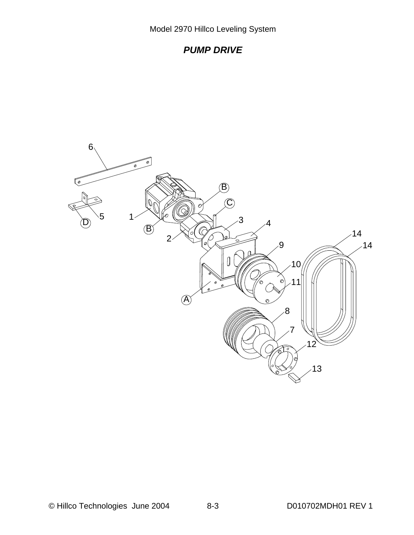![](_page_28_Figure_1.jpeg)

![](_page_28_Picture_2.jpeg)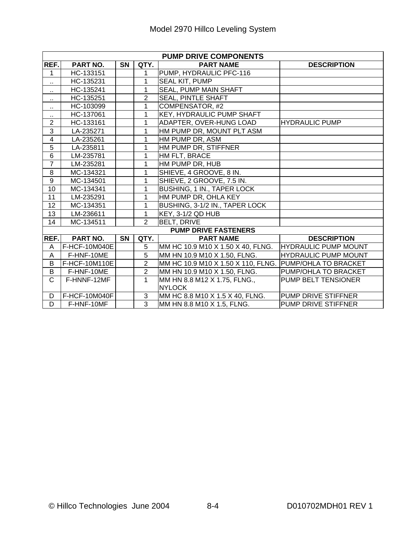| <b>PUMP DRIVE COMPONENTS</b> |               |           |                |                                                                       |                             |  |  |  |  |
|------------------------------|---------------|-----------|----------------|-----------------------------------------------------------------------|-----------------------------|--|--|--|--|
| REF.                         | PART NO.      | <b>SN</b> | QTY.           | <b>PART NAME</b>                                                      | <b>DESCRIPTION</b>          |  |  |  |  |
| 1                            | HC-133151     |           | 1              | PUMP, HYDRAULIC PFC-116                                               |                             |  |  |  |  |
| $\ddot{\phantom{a}}$         | HC-135231     |           | 1              | <b>SEAL KIT, PUMP</b>                                                 |                             |  |  |  |  |
| $\cdot$ .                    | HC-135241     |           | 1              | <b>SEAL, PUMP MAIN SHAFT</b>                                          |                             |  |  |  |  |
| $\ddot{\phantom{1}}$         | HC-135251     |           | $\overline{2}$ | <b>SEAL, PINTLE SHAFT</b>                                             |                             |  |  |  |  |
| $\ddot{\phantom{1}}$         | HC-103099     |           | 1              | COMPENSATOR, #2                                                       |                             |  |  |  |  |
| $\ddot{\phantom{1}}$         | HC-137061     |           | 1              | KEY, HYDRAULIC PUMP SHAFT                                             |                             |  |  |  |  |
| $\overline{2}$               | HC-133161     |           | 1              | ADAPTER, OVER-HUNG LOAD                                               | <b>HYDRAULIC PUMP</b>       |  |  |  |  |
| 3                            | LA-235271     |           | 1              | HM PUMP DR, MOUNT PLT ASM                                             |                             |  |  |  |  |
| $\overline{\mathbf{4}}$      | LA-235261     |           | 1              | HM PUMP DR, ASM                                                       |                             |  |  |  |  |
| 5                            | LA-235811     |           | 1              | HM PUMP DR, STIFFNER                                                  |                             |  |  |  |  |
| $\overline{6}$               | LM-235781     |           | 1              | HM FLT, BRACE                                                         |                             |  |  |  |  |
| $\overline{7}$               | LM-235281     |           | 1              | HM PUMP DR, HUB                                                       |                             |  |  |  |  |
| 8                            | MC-134321     |           | $\mathbf{1}$   | SHIEVE, 4 GROOVE, 8 IN.                                               |                             |  |  |  |  |
| $\overline{9}$               | MC-134501     |           | 1              | SHIEVE, 2 GROOVE, 7.5 IN.                                             |                             |  |  |  |  |
| 10                           | MC-134341     |           | 1              | <b>BUSHING, 1 IN., TAPER LOCK</b>                                     |                             |  |  |  |  |
| 11                           | LM-235291     |           | $\mathbf{1}$   | HM PUMP DR, OHLA KEY                                                  |                             |  |  |  |  |
| 12                           | MC-134351     |           | $\mathbf{1}$   | BUSHING, 3-1/2 IN., TAPER LOCK                                        |                             |  |  |  |  |
| 13                           | LM-236611     |           | $\mathbf{1}$   | KEY, 3-1/2 QD HUB                                                     |                             |  |  |  |  |
| 14                           | MC-134511     |           | $\overline{2}$ | <b>BELT, DRIVE</b>                                                    |                             |  |  |  |  |
|                              |               |           |                | <b>PUMP DRIVE FASTENERS</b>                                           |                             |  |  |  |  |
| REF.                         | PART NO.      | SN        | QTY.           | <b>PART NAME</b>                                                      | <b>DESCRIPTION</b>          |  |  |  |  |
| A                            | F-HCF-10M040E |           | 5              | MM HC 10.9 M10 X 1.50 X 40, FLNG.                                     | <b>HYDRAULIC PUMP MOUNT</b> |  |  |  |  |
| A                            | F-HNF-10ME    |           | $\overline{5}$ | MM HN 10.9 M10 X 1.50, FLNG.                                          | <b>HYDRAULIC PUMP MOUNT</b> |  |  |  |  |
| B                            | F-HCF-10M110E |           | $\overline{2}$ | MM HC 10.9 M10 X 1.50 X 110, FLNG. PUMP/OHLA TO BRACKET               |                             |  |  |  |  |
| B                            | F-HNF-10ME    |           | $\overline{2}$ | MM HN 10.9 M10 X 1.50, FLNG.<br>PUMP/OHLA TO BRACKET                  |                             |  |  |  |  |
| $\overline{C}$               | F-HNNF-12MF   |           | 1              | MM HN 8.8 M12 X 1.75, FLNG.,<br>PUMP BELT TENSIONER<br><b>INYLOCK</b> |                             |  |  |  |  |
| D                            | F-HCF-10M040F |           | 3              | MM HC 8.8 M10 X 1.5 X 40, FLNG.                                       | PUMP DRIVE STIFFNER         |  |  |  |  |
| D                            | F-HNF-10MF    |           | 3              | MM HN 8.8 M10 X 1.5, FLNG.                                            | PUMP DRIVE STIFFNER         |  |  |  |  |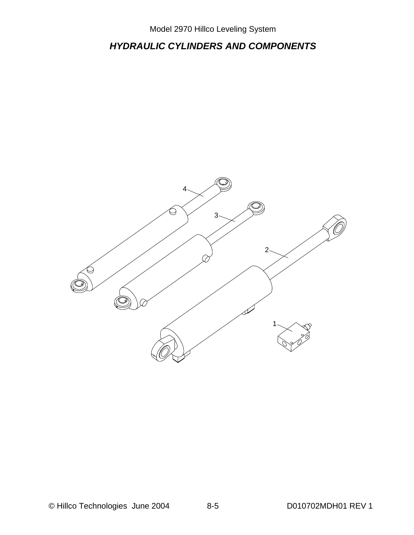# *HYDRAULIC CYLINDERS AND COMPONENTS*

![](_page_30_Figure_2.jpeg)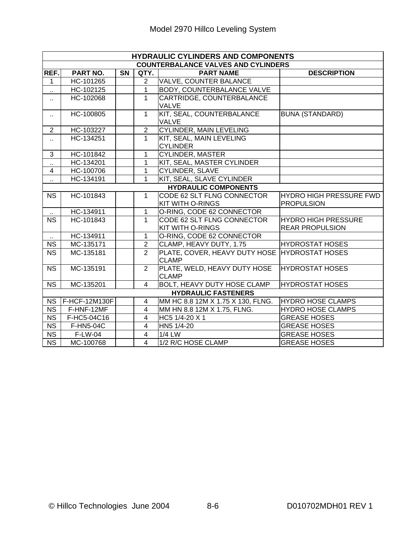| <b>HYDRAULIC CYLINDERS AND COMPONENTS</b>                                      |                           |                                        |                            |                                               |                          |  |  |  |
|--------------------------------------------------------------------------------|---------------------------|----------------------------------------|----------------------------|-----------------------------------------------|--------------------------|--|--|--|
| <b>COUNTERBALANCE VALVES AND CYLINDERS</b>                                     |                           |                                        |                            |                                               |                          |  |  |  |
| REF.                                                                           | PART NO.                  | <b>SN</b>                              | QTY.                       | <b>PART NAME</b>                              | <b>DESCRIPTION</b>       |  |  |  |
| 1                                                                              | HC-101265                 |                                        | $\overline{2}$             | <b>VALVE, COUNTER BALANCE</b>                 |                          |  |  |  |
| $\ddotsc$                                                                      | HC-102125                 |                                        | $\overline{1}$             | <b>BODY, COUNTERBALANCE VALVE</b>             |                          |  |  |  |
| а                                                                              | HC-102068                 |                                        | $\mathbf{1}$               | CARTRIDGE, COUNTERBALANCE                     |                          |  |  |  |
|                                                                                |                           |                                        |                            | <b>VALVE</b>                                  |                          |  |  |  |
| $\ddot{\phantom{1}}$                                                           | HC-100805                 |                                        | $\mathbf{1}$               | KIT, SEAL, COUNTERBALANCE                     | <b>BUNA (STANDARD)</b>   |  |  |  |
|                                                                                |                           |                                        |                            | <b>VALVE</b>                                  |                          |  |  |  |
| $\overline{2}$                                                                 | HC-103227                 |                                        | 2                          | <b>CYLINDER, MAIN LEVELING</b>                |                          |  |  |  |
| а                                                                              | $\overline{HC}$ -134251   |                                        | $\overline{1}$             | KIT, SEAL, MAIN LEVELING                      |                          |  |  |  |
|                                                                                |                           |                                        |                            | <b>CYLINDER</b>                               |                          |  |  |  |
| 3                                                                              | HC-101842                 |                                        | 1                          | <b>CYLINDER, MASTER</b>                       |                          |  |  |  |
| HC-134201<br>KIT, SEAL, MASTER CYLINDER<br>1<br>Ω,                             |                           |                                        |                            |                                               |                          |  |  |  |
| $\overline{4}$                                                                 | HC-100706                 | $\mathbf{1}$<br><b>CYLINDER, SLAVE</b> |                            |                                               |                          |  |  |  |
| KIT, SEAL, SLAVE CYLINDER<br>$\mathbf{1}$<br>HC-134191<br>$\ddot{\phantom{1}}$ |                           |                                        |                            |                                               |                          |  |  |  |
|                                                                                |                           |                                        |                            | <b>HYDRAULIC COMPONENTS</b>                   |                          |  |  |  |
| <b>NS</b>                                                                      | HC-101843                 |                                        | $\mathbf{1}$               | CODE 62 SLT FLNG CONNECTOR                    | HYDRO HIGH PRESSURE FWD  |  |  |  |
|                                                                                |                           |                                        |                            | KIT WITH O-RINGS                              | <b>PROPULSION</b>        |  |  |  |
|                                                                                | HC-134911                 |                                        | $\mathbf{1}$               | O-RING, CODE 62 CONNECTOR                     |                          |  |  |  |
| <b>NS</b>                                                                      | HC-101843<br>$\mathbf{1}$ |                                        | CODE 62 SLT FLNG CONNECTOR | <b>HYDRO HIGH PRESSURE</b>                    |                          |  |  |  |
|                                                                                |                           |                                        |                            | KIT WITH O-RINGS                              | <b>REAR PROPULSION</b>   |  |  |  |
| $\sim$                                                                         | HC-134911                 |                                        | $\mathbf{1}$               | O-RING, CODE 62 CONNECTOR                     |                          |  |  |  |
| <b>NS</b>                                                                      | MC-135171                 |                                        | $\overline{2}$             | CLAMP, HEAVY DUTY, 1.75                       | <b>HYDROSTAT HOSES</b>   |  |  |  |
| <b>NS</b>                                                                      | MC-135181                 |                                        | $\overline{2}$             | PLATE, COVER, HEAVY DUTY HOSE HYDROSTAT HOSES |                          |  |  |  |
|                                                                                |                           |                                        |                            | <b>CLAMP</b>                                  |                          |  |  |  |
| <b>NS</b>                                                                      | MC-135191                 |                                        | 2                          | PLATE, WELD, HEAVY DUTY HOSE                  | <b>HYDROSTAT HOSES</b>   |  |  |  |
|                                                                                |                           |                                        |                            | <b>CLAMP</b>                                  |                          |  |  |  |
| <b>NS</b>                                                                      | MC-135201                 |                                        | $\overline{4}$             | <b>BOLT, HEAVY DUTY HOSE CLAMP</b>            | <b>HYDROSTAT HOSES</b>   |  |  |  |
| <b>HYDRAULIC FASTENERS</b>                                                     |                           |                                        |                            |                                               |                          |  |  |  |
|                                                                                | NS   F-HCF-12M130F        |                                        | $\overline{4}$             | MM HC 8.8 12M X 1.75 X 130, FLNG.             | <b>HYDRO HOSE CLAMPS</b> |  |  |  |
| NS                                                                             | F-HNF-12MF                |                                        | $\overline{4}$             | MM HN 8.8 12M X 1.75, FLNG.                   | <b>HYDRO HOSE CLAMPS</b> |  |  |  |
| <b>NS</b>                                                                      | F-HC5-04C16               |                                        | $\overline{4}$             | HC5 1/4-20 X 1                                | <b>GREASE HOSES</b>      |  |  |  |
| <b>NS</b>                                                                      | F-HN5-04C                 |                                        | $\overline{4}$             | HN5 1/4-20                                    | <b>GREASE HOSES</b>      |  |  |  |
| $\overline{\text{NS}}$                                                         | F-LW-04                   |                                        | $\overline{4}$             | $1/4$ LW                                      | <b>GREASE HOSES</b>      |  |  |  |
| <b>NS</b>                                                                      | MC-100768                 |                                        | $\overline{4}$             | 1/2 R/C HOSE CLAMP                            | <b>GREASE HOSES</b>      |  |  |  |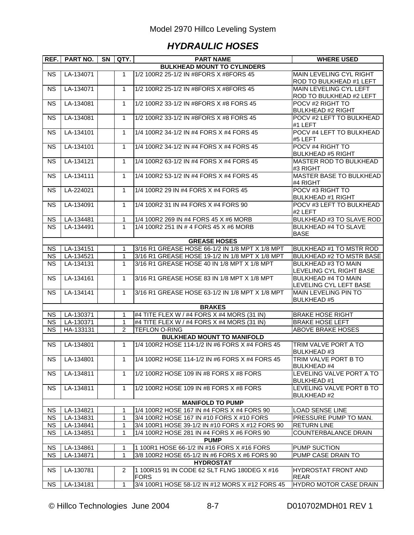# *HYDRAULIC HOSES*

| REF.                               | PART NO.  | <b>SN</b> | QTY.           | <b>PART NAME</b>                                            | <b>WHERE USED</b>                         |  |  |  |  |  |
|------------------------------------|-----------|-----------|----------------|-------------------------------------------------------------|-------------------------------------------|--|--|--|--|--|
| <b>BULKHEAD MOUNT TO CYLINDERS</b> |           |           |                |                                                             |                                           |  |  |  |  |  |
| <b>NS</b>                          | LA-134071 |           | 1              | 1/2 100R2 25-1/2 IN #8FORS X #8FORS 45                      | <b>MAIN LEVELING CYL RIGHT</b>            |  |  |  |  |  |
|                                    |           |           |                |                                                             | ROD TO BULKHEAD #1 LEFT                   |  |  |  |  |  |
| <b>NS</b>                          | LA-134071 |           | $\mathbf{1}$   | 1/2 100R2 25-1/2 IN #8FORS X #8FORS 45                      | MAIN LEVELING CYL LEFT                    |  |  |  |  |  |
|                                    |           |           |                |                                                             | ROD TO BULKHEAD #2 LEFT                   |  |  |  |  |  |
| <b>NS</b>                          | LA-134081 |           | $\mathbf{1}$   | 1/2 100R2 33-1/2 IN #8FORS X #8 FORS 45                     | POCV #2 RIGHT TO                          |  |  |  |  |  |
|                                    |           |           |                |                                                             | <b>BULKHEAD #2 RIGHT</b>                  |  |  |  |  |  |
| <b>NS</b>                          | LA-134081 |           | $\mathbf{1}$   | 1/2 100R2 33-1/2 IN #8FORS X #8 FORS 45                     | POCV #2 LEFT TO BULKHEAD                  |  |  |  |  |  |
|                                    |           |           |                |                                                             | #1 LEFT                                   |  |  |  |  |  |
| <b>NS</b>                          | LA-134101 |           | 1              | 1/4 100R2 34-1/2 IN #4 FORS X #4 FORS 45                    | POCV #4 LEFT TO BULKHEAD                  |  |  |  |  |  |
|                                    |           |           |                |                                                             | #5 LEFT                                   |  |  |  |  |  |
| <b>NS</b>                          | LA-134101 |           | $\mathbf{1}$   | 1/4 100R2 34-1/2 IN #4 FORS X #4 FORS 45                    | POCV #4 RIGHT TO                          |  |  |  |  |  |
|                                    |           |           |                |                                                             | <b>BULKHEAD #5 RIGHT</b>                  |  |  |  |  |  |
| <b>NS</b>                          | LA-134121 |           | $\mathbf 1$    | 1/4 100R2 63-1/2 IN #4 FORS X #4 FORS 45                    | <b>MASTER ROD TO BULKHEAD</b>             |  |  |  |  |  |
|                                    |           |           |                |                                                             | #3 RIGHT                                  |  |  |  |  |  |
| <b>NS</b>                          | LA-134111 |           | $\mathbf{1}$   | 1/4 100R2 53-1/2 IN #4 FORS X #4 FORS 45                    | <b>MASTER BASE TO BULKHEAD</b>            |  |  |  |  |  |
|                                    |           |           |                |                                                             | #4 RIGHT                                  |  |  |  |  |  |
| <b>NS</b>                          | LA-224021 |           | $\mathbf{1}$   | 1/4 100R2 29 IN #4 FORS X #4 FORS 45                        | POCV #3 RIGHT TO                          |  |  |  |  |  |
|                                    |           |           |                |                                                             | <b>BULKHEAD #1 RIGHT</b>                  |  |  |  |  |  |
| <b>NS</b>                          | LA-134091 |           | $\mathbf 1$    | 1/4 100R2 31 IN #4 FORS X #4 FORS 90                        | POCV #3 LEFT TO BULKHEAD                  |  |  |  |  |  |
|                                    |           |           |                |                                                             | #2 LEFT                                   |  |  |  |  |  |
| <b>NS</b>                          | LA-134481 |           | 1              | 1/4 100R2 269 IN #4 FORS 45 X #6 MORB                       | <b>BULKHEAD #3 TO SLAVE ROD</b>           |  |  |  |  |  |
| <b>NS</b>                          | LA-134491 |           | $\mathbf{1}$   | 1/4 100R2 251 IN # 4 FORS 45 X #6 MORB                      | <b>BULKHEAD #4 TO SLAVE</b>               |  |  |  |  |  |
|                                    |           |           |                |                                                             | <b>BASE</b>                               |  |  |  |  |  |
|                                    |           |           |                | <b>GREASE HOSES</b>                                         |                                           |  |  |  |  |  |
| <b>NS</b>                          | LA-134151 |           | 1              | 3/16 R1 GREASE HOSE 66-1/2 IN 1/8 MPT X 1/8 MPT             | BULKHEAD #1 TO MSTR ROD                   |  |  |  |  |  |
| <b>NS</b>                          | LA-134521 |           | $\mathbf{1}$   | 3/16 R1 GREASE HOSE 19-1/2 IN 1/8 MPT X 1/8 MPT             | <b>BULKHEAD #2 TO MSTR BASE</b>           |  |  |  |  |  |
| <b>NS</b>                          | LA-134131 |           | $\mathbf{1}$   | 3/16 R1 GREASE HOSE 40 IN 1/8 MPT X 1/8 MPT                 | <b>BULKHEAD #3 TO MAIN</b>                |  |  |  |  |  |
|                                    |           |           |                |                                                             | LEVELING CYL RIGHT BASE                   |  |  |  |  |  |
| <b>NS</b>                          | LA-134161 |           | 1              | 3/16 R1 GREASE HOSE 83 IN 1/8 MPT X 1/8 MPT                 | <b>BULKHEAD #4 TO MAIN</b>                |  |  |  |  |  |
|                                    |           |           |                |                                                             | LEVELING CYL LEFT BASE                    |  |  |  |  |  |
| <b>NS</b>                          | LA-134141 |           | $\mathbf{1}$   | 3/16 R1 GREASE HOSE 63-1/2 IN 1/8 MPT X 1/8 MPT             | MAIN LEVELING PIN TO                      |  |  |  |  |  |
|                                    |           |           |                |                                                             | <b>BULKHEAD #5</b>                        |  |  |  |  |  |
|                                    |           |           |                | <b>BRAKES</b>                                               |                                           |  |  |  |  |  |
| <b>NS</b>                          | LA-130371 |           | 1              | #4 TITE FLEX W / #4 FORS X #4 MORS (31 IN)                  | <b>BRAKE HOSE RIGHT</b>                   |  |  |  |  |  |
| <b>NS</b>                          | LA-130371 |           | 1              | #4 TITE FLEX W / #4 FORS X #4 MORS (31 IN)                  | <b>BRAKE HOSE LEFT</b>                    |  |  |  |  |  |
| <b>NS</b>                          | HA-133131 |           | $\overline{2}$ | <b>TEFLON O-RING</b>                                        | <b>ABOVE BRAKE HOSES</b>                  |  |  |  |  |  |
|                                    |           |           |                | <b>BULKHEAD MOUNT TO MANIFOLD</b>                           |                                           |  |  |  |  |  |
| <b>NS</b>                          | LA-134801 |           | 1              | 1/4 100R2 HOSE 114-1/2 IN #6 FORS X #4 FORS 45              | TRIM VALVE PORT A TO                      |  |  |  |  |  |
|                                    |           |           |                |                                                             | <b>BULKHEAD#3</b>                         |  |  |  |  |  |
| N <sub>S</sub>                     | LA-134801 |           | 1.             | 1/4 100R2 HOSE 114-1/2 IN #6 FORS X #4 FORS 45              | TRIM VALVE PORT B TO                      |  |  |  |  |  |
|                                    |           |           |                |                                                             | <b>BULKHEAD#4</b>                         |  |  |  |  |  |
| <b>NS</b>                          | LA-134811 |           | 1              | 1/2 100R2 HOSE 109 IN #8 FORS X #8 FORS                     | LEVELING VALVE PORT A TO                  |  |  |  |  |  |
|                                    |           |           |                |                                                             | <b>BULKHEAD #1</b>                        |  |  |  |  |  |
| NS.                                | LA-134811 |           | 1              | 1/2 100R2 HOSE 109 IN #8 FORS X #8 FORS                     | LEVELING VALVE PORT B TO                  |  |  |  |  |  |
|                                    |           |           |                |                                                             | <b>BULKHEAD #2</b>                        |  |  |  |  |  |
|                                    |           |           |                | <b>MANIFOLD TO PUMP</b>                                     |                                           |  |  |  |  |  |
| <b>NS</b>                          | LA-134821 |           | 1              | 1/4 100R2 HOSE 167 IN #4 FORS X #4 FORS 90                  | <b>LOAD SENSE LINE</b>                    |  |  |  |  |  |
| <b>NS</b>                          | LA-134831 |           | 1              | 3/4 100R2 HOSE 167 IN #10 FORS X #10 FORS                   | PRESSURE PUMP TO MAN.                     |  |  |  |  |  |
| <b>NS</b>                          | LA-134841 |           | 1              | 3/4 100R1 HOSE 39-1/2 IN #10 FORS X #12 FORS 90             | <b>RETURN LINE</b>                        |  |  |  |  |  |
| <b>NS</b>                          | LA-134851 |           | 1              | 1/4 100R2 HOSE 281 IN #4 FORS X #6 FORS 90                  | COUNTERBALANCE DRAIN                      |  |  |  |  |  |
|                                    |           |           |                | <b>PUMP</b>                                                 |                                           |  |  |  |  |  |
| <b>NS</b>                          | LA-134861 |           | 1              | 1 100R1 HOSE 66-1/2 IN #16 FORS X #16 FORS                  | PUMP SUCTION                              |  |  |  |  |  |
| <b>NS</b>                          | LA-134871 |           | 1              | 3/8 100R2 HOSE 65-1/2 IN #6 FORS X #6 FORS 90               | PUMP CASE DRAIN TO                        |  |  |  |  |  |
|                                    |           |           |                | <b>HYDROSTAT</b>                                            |                                           |  |  |  |  |  |
|                                    |           |           | $\overline{2}$ |                                                             |                                           |  |  |  |  |  |
| <b>NS</b>                          | LA-130781 |           |                | 1 100R15 91 IN CODE 62 SLT FLNG 180DEG X #16<br><b>FORS</b> | <b>HYDROSTAT FRONT AND</b><br><b>REAR</b> |  |  |  |  |  |
| <b>NS</b>                          | LA-134181 |           | 1              | 3/4 100R1 HOSE 58-1/2 IN #12 MORS X #12 FORS 45             | <b>HYDRO MOTOR CASE DRAIN</b>             |  |  |  |  |  |
|                                    |           |           |                |                                                             |                                           |  |  |  |  |  |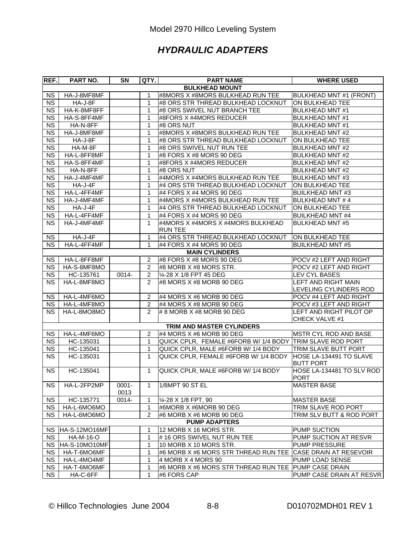# *HYDRAULIC ADAPTERS*

| REF.                   | PART NO.         | SN               | QTY.           | <b>PART NAME</b>                                          | <b>WHERE USED</b>                                    |
|------------------------|------------------|------------------|----------------|-----------------------------------------------------------|------------------------------------------------------|
|                        |                  |                  |                | <b>BULKHEAD MOUNT</b>                                     |                                                      |
| <b>NS</b>              | HA-J-8MF8MF      |                  | 1              | #8MORS X #8MORS BULKHEAD RUN TEE                          | <b>BULKHEAD MNT #1 (FRONT)</b>                       |
| $\overline{\text{NS}}$ | HA-J-8F          |                  | $\mathbf{1}$   | #8 ORS STR THREAD BULKHEAD LOCKNUT                        | ON BULKHEAD TEE                                      |
| <b>NS</b>              | HA-K-8MF8FF      |                  | $\mathbf{1}$   | #8 ORS SWIVEL NUT BRANCH TEE                              | <b>BULKHEAD MNT #1</b>                               |
| <b>NS</b>              | HA-S-8FF4MF      |                  | 1              | #8FORS X #4MORS REDUCER                                   | <b>BULKHEAD MNT#1</b>                                |
| <b>NS</b>              | HA-N-8FF         |                  | 1              | #8 ORS NUT                                                | <b>BULKHEAD MNT#1</b>                                |
| $\overline{\text{NS}}$ | HA-J-8MF8MF      |                  | 1              | #8MORS X #8MORS BULKHEAD RUN TEE                          | <b>BULKHEAD MNT#2</b>                                |
| <b>NS</b>              | HA-J-8F          |                  | 1              | #8 ORS STR THREAD BULKHEAD LOCKNUT                        | ON BULKHEAD TEE                                      |
| $\overline{\text{NS}}$ | HA-M-8F          |                  | 1              | #8 ORS SWIVEL NUT RUN TEE                                 | <b>BULKHEAD MNT #2</b>                               |
| $\overline{\text{NS}}$ | HA-L-8FF8MF      |                  | 1              | #8 FORS X #8 MORS 90 DEG                                  | <b>BULKHEAD MNT #2</b>                               |
| <b>NS</b>              | HA-S-8FF4MF      |                  | 1              | #8FORS X #4MORS REDUCER                                   | <b>BULKHEAD MNT #2</b>                               |
| <b>NS</b>              | HA-N-8FF         |                  | 1              | #8 ORS NUT                                                | <b>BULKHEAD MNT #2</b>                               |
| <b>NS</b>              | HA-J-4MF4MF      |                  | 1              | #4MORS X #4MORS BULKHEAD RUN TEE                          | <b>BULKHEAD MNT#3</b>                                |
| $\overline{\text{NS}}$ | HA-J-4F          |                  | $\mathbf{1}$   | #4 ORS STR THREAD BULKHEAD LOCKNUT                        | ON BULKHEAD TEE                                      |
| $\overline{\text{NS}}$ | HA-L-4FF4MF      |                  | $\mathbf{1}$   | #4 FORS X #4 MORS 90 DEG                                  | <b>BUILKHEAD MNT#3</b>                               |
| <b>NS</b>              | HA-J-4MF4MF      |                  | 1              | #4MORS X #4MORS BULKHEAD RUN TEE                          | <b>BULKHEAD MNT#4</b>                                |
| $\overline{\text{NS}}$ | $HA-J-4F$        |                  | $\mathbf{1}$   | #4 ORS STR THREAD BULKHEAD LOCKNUT                        | ON BULKHEAD TEE                                      |
| <b>NS</b>              | HA-L-4FF4MF      |                  | 1              | #4 FORS X #4 MORS 90 DEG                                  | <b>BUILKHEAD MNT #4</b>                              |
| <b>NS</b>              | HA-J-4MF4MF      |                  | $\mathbf{1}$   | #4MORS X #4MORS X #4MORS BULKHEAD<br><b>RUN TEE</b>       | <b>BULKHEAD MNT #5</b>                               |
| <b>NS</b>              | HA-J-4F          |                  | 1              | #4 ORS STR THREAD BULKHEAD LOCKNUT                        | ON BULKHEAD TEE                                      |
| <b>NS</b>              | HA-L-4FF4MF      |                  | $\mathbf{1}$   | #4 FORS X #4 MORS 90 DEG                                  | <b>BUILKHEAD MNT #5</b>                              |
|                        |                  |                  |                | <b>MAIN CYLINDERS</b>                                     |                                                      |
| <b>NS</b>              | HA-L-8FF8MF      |                  | 2              | #8 FORS X #8 MORS 90 DEG                                  | POCV #2 LEFT AND RIGHT                               |
| <b>NS</b>              | HA-S-8MF8MO      |                  | $\overline{2}$ | #8 MORB X #8 MORS STR.                                    | POCV #2 LEFT AND RIGHT                               |
| <b>NS</b>              | HC-135761        | 0014-            | $\overline{c}$ | 1/4-28 X 1/8 FPT 45 DEG                                   | <b>LEV CYL BASES</b>                                 |
| <b>NS</b>              | HA-L-8MF8MO      |                  | 2              | #8 MORS X #8 MORB 90 DEG                                  | <b>LEFT AND RIGHT MAIN</b><br>LEVELING CYLINDERS ROD |
| <b>NS</b>              | HA-L-4MF6MO      |                  | 2              | #4 MORS X #6 MORB 90 DEG                                  | POCV #4 LEFT AND RIGHT                               |
| <b>NS</b>              | HA-L-4MF8MO      |                  | $\overline{2}$ | $\#4$ MORS X #8 MORB 90 DEG                               | POCV #3 LEFT AND RIGHT                               |
| <b>NS</b>              | HA-L-8MO8MO      |                  | $\overline{2}$ | $\#$ 8 MORB X #8 MORB 90 DEG                              | LEFT AND RIGHT PILOT OP<br>CHECK VALVE #1            |
|                        |                  |                  |                | TRIM AND MASTER CYLINDERS                                 |                                                      |
| <b>NS</b>              | HA-L-4MF6MO      |                  | $\overline{c}$ | #4 MORS X #6 MORB 90 DEG                                  | MSTR CYL ROD AND BASE                                |
| <b>NS</b>              | HC-135031        |                  | $\mathbf{1}$   | QUICK CPLR, FEMALE #6FORB W/ 1/4 BODY TRIM SLAVE ROD PORT |                                                      |
| <b>NS</b>              | HC-135041        |                  | 1              | QUICK CPLR, MALE #6FORB W/ 1/4 BODY                       | TRIM SLAVE BUTT PORT                                 |
| <b>NS</b>              | HC-135031        |                  | $\mathbf{1}$   | QUICK CPLR, FEMALE #6FORB W/ 1/4 BODY                     | HOSE LA-134491 TO SLAVE<br><b>BUTT PORT</b>          |
| <b>NS</b>              | HC-135041        |                  | $\mathbf{1}$   | QUICK CPLR, MALE #6FORB W/ 1/4 BODY                       | HOSE LA-134481 TO SLV ROD<br>PORT                    |
| <b>NS</b>              | HA-L-2FP2MP      | $0001 -$<br>0013 | 1              | 1/8MPT 90 ST EL                                           | <b>MASTER BASE</b>                                   |
| <b>NS</b>              | HC-135771        | 0014-            | 1              | 1⁄4-28 X 1/8 FPT, 90                                      | <b>MASTER BASE</b>                                   |
| <b>NS</b>              | HA-L-6MO6MO      |                  | $\mathbf{1}$   | #6MORB X #6MORB 90 DEG                                    | TRIM SLAVE ROD PORT                                  |
| <b>NS</b>              | HA-L-6MO6MO      |                  | 2              | #6 MORB X #6 MORB 90 DEG                                  | TRIM SLV BUTT & ROD PORT                             |
|                        |                  |                  |                | <b>PUMP ADAPTERS</b>                                      |                                                      |
| NS.                    | HA-S-12MO16MF    |                  | 1              | 12 MORB X 16 MORS STR.                                    | PUMP SUCTION                                         |
| <b>NS</b>              | <b>HA-M-16-O</b> |                  | 1              | #16 ORS SWIVEL NUT RUN TEE                                | PUMP SUCTION AT RESVR                                |
| <b>NS</b>              | HA-S-10MO10MF    |                  | 1              | 10 MORB X 10 MORS STR.                                    | PUMP PRESSURE                                        |
| <b>NS</b>              | HA-T-6MO6MF      |                  | 1              | #6 MORB X #6 MORS STR THREAD RUN TEE                      | <b>CASE DRAIN AT RESEVOIR</b>                        |
| <b>NS</b>              | HA-L-4MO4MF      |                  | 1              | 4 MORB X 4 MORS 90                                        | PUMP LOAD SENSE                                      |
| <b>NS</b>              | HA-T-6MO6MF      |                  | 1              | #6 MORB X #6 MORS STR THREAD RUN TEE PUMP CASE DRAIN      |                                                      |
| <b>NS</b>              | HA-C-6FF         |                  | 1              | #6 FORS CAP                                               | PUMP CASE DRAIN AT RESVR                             |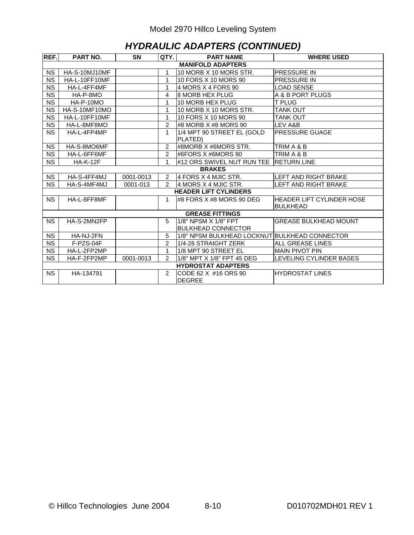## *HYDRAULIC ADAPTERS (CONTINUED)*

| REF.                     | <b>PART NO.</b> | <b>SN</b> | QTY.           | <b>PART NAME</b>                              | <b>WHERE USED</b>                                   |  |  |  |  |
|--------------------------|-----------------|-----------|----------------|-----------------------------------------------|-----------------------------------------------------|--|--|--|--|
| <b>MANIFOLD ADAPTERS</b> |                 |           |                |                                               |                                                     |  |  |  |  |
| <b>NS</b>                | HA-S-10MJ10MF   |           | 1              | 10 MORB X 10 MORS STR.                        | <b>PRESSURE IN</b>                                  |  |  |  |  |
| <b>NS</b>                | HA-L-10FF10MF   |           | 1              | 10 FORS X 10 MORS 90                          | <b>PRESSURE IN</b>                                  |  |  |  |  |
| <b>NS</b>                | HA-L-4FF4MF     |           | 1              | 4 MORS X 4 FORS 90                            | <b>LOAD SENSE</b>                                   |  |  |  |  |
| <b>NS</b>                | HA-P-8MO        |           | 4              | 8 MORB HEX PLUG                               | A & B PORT PLUGS                                    |  |  |  |  |
| <b>NS</b>                | HA-P-10MO       |           | 1              | 10 MORB HEX PLUG                              | T PLUG                                              |  |  |  |  |
| <b>NS</b>                | HA-S-10MF10MO   |           | 1              | 10 MORB X 10 MORS STR.                        | <b>TANK OUT</b>                                     |  |  |  |  |
| <b>NS</b>                | HA-L-10FF10MF   |           | 1              | 10 FORS X 10 MORS 90                          | TANK OUT                                            |  |  |  |  |
| <b>NS</b>                | HA-L-8MF8MO     |           | $\overline{2}$ | #8 MORB X #8 MORS 90                          | LEV A&B                                             |  |  |  |  |
| <b>NS</b>                | HA-L-4FP4MP     |           | $\mathbf{1}$   | 1/4 MPT 90 STREET EL (GOLD                    | PRESSURE GUAGE                                      |  |  |  |  |
|                          | PLATED)         |           |                |                                               |                                                     |  |  |  |  |
| <b>NS</b>                | HA-S-8MO6MF     |           | 2              | #8MORB X #6MORS STR.                          | TRIM A & B                                          |  |  |  |  |
| <b>NS</b>                | HA-L-6FF6MF     |           | 2              | #6FORS X #6MORS 90                            | TRIM A & B                                          |  |  |  |  |
| <b>NS</b>                | <b>HA-K-12F</b> |           | 1              | #12 ORS SWIVEL NUT RUN TEE IRETURN LINE       |                                                     |  |  |  |  |
|                          |                 |           |                | <b>BRAKES</b>                                 |                                                     |  |  |  |  |
| <b>NS</b>                | HA-S-4FF4MJ     | 0001-0013 | $\overline{2}$ | 4 FORS X 4 MJIC STR.                          | LEFT AND RIGHT BRAKE                                |  |  |  |  |
| <b>NS</b>                | HA-S-4MF4MJ     | 0001-013  | $\mathfrak{p}$ | 4 MORS X 4 MJIC STR.                          | LEFT AND RIGHT BRAKE                                |  |  |  |  |
|                          |                 |           |                | <b>HEADER LIFT CYLINDERS</b>                  |                                                     |  |  |  |  |
| <b>NS</b>                | HA-L-8FF8MF     |           | 1              | #8 FORS X #8 MORS 90 DEG                      | <b>HEADER LIFT CYLINDER HOSE</b><br><b>BULKHEAD</b> |  |  |  |  |
|                          |                 |           |                | <b>GREASE FITTINGS</b>                        |                                                     |  |  |  |  |
| <b>NS</b>                | HA-S-2MN2FP     |           | 5              | 1/8" NPSM X 1/8" FPT                          | <b>GREASE BULKHEAD MOUNT</b>                        |  |  |  |  |
|                          |                 |           |                | <b>BULKHEAD CONNECTOR</b>                     |                                                     |  |  |  |  |
| <b>NS</b>                | HA-NJ-2FN       |           | 5              | 1/8" NPSM BULKHEAD LOCKNUT BULKHEAD CONNECTOR |                                                     |  |  |  |  |
| <b>NS</b>                | F-PZS-04F       |           | $\overline{2}$ | 1/4-28 STRAIGHT ZERK                          | <b>ALL GREASE LINES</b>                             |  |  |  |  |
| <b>NS</b>                | HA-L-2FP2MP     |           | 1              | 1/8 MPT 90 STREET EL                          | <b>MAIN PIVOT PIN</b>                               |  |  |  |  |
| <b>NS</b>                | HA-F-2FP2MP     | 0001-0013 | 2              | 1/8" MPT X 1/8" FPT 45 DEG                    | LEVELING CYLINDER BASES                             |  |  |  |  |
|                          |                 |           |                | <b>HYDROSTAT ADAPTERS</b>                     |                                                     |  |  |  |  |
| <b>NS</b>                | HA-134791       |           | 2              | CODE 62 X #16 ORS 90<br><b>DEGREE</b>         | <b>HYDROSTAT LINES</b>                              |  |  |  |  |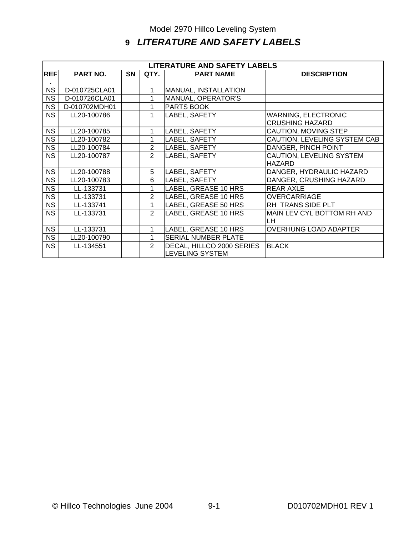# **9** *LITERATURE AND SAFETY LABELS*

| <b>LITERATURE AND SAFETY LABELS</b> |                 |           |                |                            |                                 |  |  |  |
|-------------------------------------|-----------------|-----------|----------------|----------------------------|---------------------------------|--|--|--|
| <b>REF</b>                          | <b>PART NO.</b> | <b>SN</b> | QTY.           | <b>PART NAME</b>           | <b>DESCRIPTION</b>              |  |  |  |
|                                     |                 |           |                |                            |                                 |  |  |  |
| <b>NS</b>                           | D-010725CLA01   |           | 1              | MANUAL, INSTALLATION       |                                 |  |  |  |
| <b>NS</b>                           | D-010726CLA01   |           | 1              | MANUAL, OPERATOR'S         |                                 |  |  |  |
| <b>NS</b>                           | D-010702MDH01   |           | 1              | <b>PARTS BOOK</b>          |                                 |  |  |  |
| NS.                                 | LL20-100786     |           | 1              | LABEL, SAFETY              | <b>WARNING, ELECTRONIC</b>      |  |  |  |
|                                     |                 |           |                |                            | <b>CRUSHING HAZARD</b>          |  |  |  |
| NS.                                 | LL20-100785     |           | 1              | LABEL, SAFETY              | CAUTION, MOVING STEP            |  |  |  |
| <b>NS</b>                           | LL20-100782     |           | 1              | LABEL, SAFETY              | CAUTION, LEVELING SYSTEM CAB    |  |  |  |
| <b>NS</b>                           | LL20-100784     |           | $\overline{2}$ | LABEL, SAFETY              | DANGER, PINCH POINT             |  |  |  |
| <b>NS</b>                           | LL20-100787     |           | $\overline{2}$ | LABEL, SAFETY              | <b>CAUTION, LEVELING SYSTEM</b> |  |  |  |
|                                     |                 |           |                |                            | <b>HAZARD</b>                   |  |  |  |
| <b>NS</b>                           | LL20-100788     |           | 5              | LABEL, SAFETY              | DANGER, HYDRAULIC HAZARD        |  |  |  |
| <b>NS</b>                           | LL20-100783     |           | 6              | LABEL, SAFETY              | DANGER, CRUSHING HAZARD         |  |  |  |
| <b>NS</b>                           | LL-133731       |           | 1              | LABEL, GREASE 10 HRS       | <b>REAR AXLE</b>                |  |  |  |
| <b>NS</b>                           | LL-133731       |           | $\overline{2}$ | LABEL, GREASE 10 HRS       | <b>OVERCARRIAGE</b>             |  |  |  |
| <b>NS</b>                           | LL-133741       |           | 1              | LABEL, GREASE 50 HRS       | RH TRANS SIDE PLT               |  |  |  |
| <b>NS</b>                           | LL-133731       |           | $\overline{2}$ | LABEL, GREASE 10 HRS       | MAIN LEV CYL BOTTOM RH AND      |  |  |  |
|                                     |                 |           |                |                            | LH.                             |  |  |  |
| <b>NS</b>                           | LL-133731       |           | 1              | LABEL, GREASE 10 HRS       | <b>OVERHUNG LOAD ADAPTER</b>    |  |  |  |
| <b>NS</b>                           | LL20-100790     |           | 1              | <b>SERIAL NUMBER PLATE</b> |                                 |  |  |  |
| <b>NS</b>                           | LL-134551       |           | $\mathcal{P}$  | DECAL, HILLCO 2000 SERIES  | <b>BLACK</b>                    |  |  |  |
|                                     |                 |           |                | <b>LEVELING SYSTEM</b>     |                                 |  |  |  |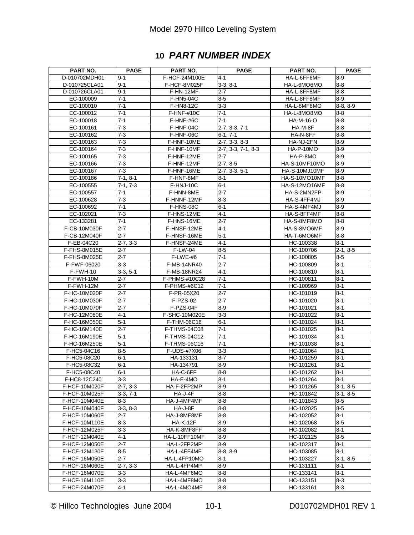# **10** *PART NUMBER INDEX*

| <b>PART NO.</b> | <b>PAGE</b>        | <b>PART NO.</b>            | <b>PAGE</b>           | <b>PART NO.</b>      | <b>PAGE</b>    |
|-----------------|--------------------|----------------------------|-----------------------|----------------------|----------------|
| D-010702MDH01   | 9-1                | F-HCF-24M100E              | 4-1                   | HA-L-6FF6MF          | $8 - 9$        |
| D-010725CLA01   | $9 - 1$            | F-HCF-8M025F               | $3-3, 8-1$            | HA-L-6MO6MO          | 8-8            |
| D-010726CLA01   | $9 - 1$            | F-HN-12MF                  | $2 - 7$               | HA-L-8FF8MF          | $8 - 8$        |
| EC-100009       | $7 - 1$            | F-HN5-04C                  | $8-5$                 | HA-L-8FF8MF          | 8-9            |
| EC-100010       | $7 - 1$            | <b>F-HN8-12C</b>           | $3-3$                 | HA-L-8MF8MO          | $8-8, 8-9$     |
| EC-100012       | $7 - 1$            | <b>F-HNF-#10C</b>          | $7 - 1$               | HA-L-8MO8MO          | 8-8            |
| EC-100018       | $7 - 1$            | F-HNF-#6C                  | $7 - 1$               | <b>HA-M-16-O</b>     | $8 - 8$        |
| EC-100161       | $\overline{7} - 3$ | F-HNF-04C                  | $2 - 7, 3 - 3, 7 - 1$ | HA-M-8F              | 8-8            |
| EC-100162       | $7 - 3$            | F-HNF-06C                  | 6-1, 7-1              | HA-N-8FF             | $8 - 8$        |
| EC-100163       | $7 - 3$            | F-HNF-10ME                 | $2 - 7, 3 - 3, 8 - 3$ | HA-NJ-2FN            | $8-9$          |
| EC-100164       | $7-3$              | F-HNF-10MF                 | $2-7, 3-3, 7-1, 8-3$  | <b>HA-P-10MO</b>     | $8-9$          |
| EC-100165       | $7 - 3$            | F-HNF-12ME                 | $2 - 7$               | HA-P-8MO             | $8-9$          |
| EC-100166       | $7 - 3$            | F-HNF-12MF                 | $2 - 7, 8 - 5$        | HA-S-10MF10MO        | 8-9            |
| EC-100167       | $7 - 3$            | F-HNF-16ME                 | $2 - 7, 3 - 3, 5 - 1$ | HA-S-10MJ10MF        | $8 - 9$        |
| EC-100186       | $7-1, 8-1$         | F-HNF-8MF                  | $8-1$                 | HA-S-10MO10MF        | 8-8            |
| EC-100555       | $7-1, 7-3$         | F-HNJ-10C                  | $6-1$                 | <b>HA-S-12MO16MF</b> | $8 - 8$        |
| EC-100557       | $7 - 1$            | F-HNN-8ME                  | $2 - 7$               | HA-S-2MN2FP          | 8-9            |
| EC-100628       | $7 - 3$            | F-HNNF-12MF                | $8-3$                 | HA-S-4FF4MJ          | 8-9            |
| EC-100692       | $7 - 1$            | <b>F-HNS-08C</b>           | $6-1$                 | HA-S-4MF4MJ          | $8 - 9$        |
| EC-102021       | $7-3$              | F-HNS-12ME                 | $4-1$                 | HA-S-8FF4MF          | $8 - 8$        |
| EC-133281       | $7 - 1$            | F-HNS-16ME                 | $2 - 7$               | HA-S-8MF8MO          | $8 - 8$        |
|                 |                    |                            |                       |                      |                |
| F-CB-10M030F    | $2 - 7$            | F-HNSF-12ME<br>F-HNSF-16ME | 4-1                   | HA-S-8MO6MF          | 8-9            |
| F-CB-12M040F    | $2 - 7$            |                            | $5 - 1$               | HA-T-6MO6MF          | $8 - 8$        |
| F-EB-04C20      | $2 - 7, 3 - 3$     | F-HNSF-24ME                | $4-1$                 | HC-100338            | $8 - 1$        |
| F-FHS-8M015E    | 2-7                | $F-LW-04$                  | $8-5$                 | HC-100706            | $2 - 1, 8 - 5$ |
| F-FHS-8M025E    | $2 - 7$            | F-LWE-#6                   | $7 - 1$               | HC-100805            | $8 - 5$        |
| F-FWF-06020     | 3-3                | F-MB-14NR40                | $2 - 7$               | HC-100809            | $8 - 1$        |
| F-FWH-10        | $3-3, 5-1$         | <b>F-MB-18NR24</b>         | 4-1                   | HC-100810            | $8 - 1$        |
| F-FWH-10M       | $2 - 7$            | F-PHMS-#10C28              | $7 - 1$               | HC-100811            | $8 - 1$        |
| F-FWH-12M       | $2 - 7$            | F-PHMS-#6C12               | $7 - 1$               | HC-100969            | $8 - 1$        |
| F-HC-10M020F    | $2 - 7$            | F-PR-05X20                 | $2 - 7$               | HC-101019            | $8 - 1$        |
| F-HC-10M030F    | $2 - 7$            | F-PZS-02                   | $2 - 7$               | HC-101020            | $8 - 1$        |
| F-HC-10M070F    | $2 - 7$            | F-PZS-04F                  | $8 - 9$               | HC-101021            | $8 - 1$        |
| F-HC-12M080E    | $4 - 1$            | F-SHC-10M020E              | $3-3$                 | HC-101022            | $8 - 1$        |
| F-HC-16M050E    | $5 - 1$            | F-THM-06C16                | $6-1$                 | HC-101024            | $8 - 1$        |
| F-HC-16M140E    | $2 - 7$            | <b>F-THMS-04C08</b>        | $7 - 1$               | HC-101025            | $8 - 1$        |
| F-HC-16M190E    | $5-1$              | F-THMS-04C12               | $7 - 1$               | HC-101034            | $8 - 1$        |
| F-HC-16M250E    | $5 - 1$            | <b>F-THMS-06C16</b>        | $\overline{7}$ -1     | HC-101038            | $8 - 1$        |
| F-HC5-04C16     | $8-5$              | F-UDS-#7X06                | $3-3$                 | HC-101064            | $8 - 1$        |
| F-HC5-08C20     | $6 - 1$            | HA-133131                  | $8 - 7$               | HC-101259            | 8-1            |
| F-HC5-08C32     | $6 - 1$            | HA-134791                  | $8 - 9$               | HC-101261            | $8 - 1$        |
| F-HC5-08C40     | $6 - 1$            | HA-C-6FF                   | 8-8                   | HC-101262            | $8 - 1$        |
| F-HC8-12C240    | $3 - 3$            | HA-E-4MO                   | $8 - 1$               | HC-101264            | $8 - 1$        |
| F-HCF-10M020F   | $2 - 7, 3 - 3$     | HA-F-2FP2MP                | 8-9                   | HC-101265            | 3-1, 8-5       |
| F-HCF-10M025F   | $3-3.7-1$          | HA-J-4F                    | $8-8$                 | HC-101842            | 3-1, 8-5       |
| F-HCF-10M040E   | $8-3$              | HA-J-4MF4MF                | 8-8                   | HC-101843            | 8-5            |
| F-HCF-10M040F   | $3-3, 8-3$         | HA-J-8F                    | $8-8$                 | HC-102025            | $8-5$          |
| F-HCF-10M060E   | $2 - 7$            | HA-J-8MF8MF                | 8-8                   | HC-102052            | 8-1            |
| F-HCF-10M110E   | 8-3                | <b>HA-K-12F</b>            | $8-9$                 | HC-102068            | $8-5$          |
| F-HCF-12M025F   | $3 - 3$            | HA-K-8MF8FF                | $8 - 8$               | HC-102082            | $8 - 1$        |
| F-HCF-12M040E   | $4 - 1$            | HA-L-10FF10MF              | 89                    | HC-102125            | 8-5            |
| F-HCF-12M050E   | $2 - 7$            | HA-L-2FP2MP                | 8-9                   | HC-102317            | 8-1            |
| F-HCF-12M130F   | $8-5$              | HA-L-4FF4MF                | 8-8, 8-9              | HC-103085            | $8 - 1$        |
| F-HCF-16M050E   | $2 - 7$            | HA-L-4FP10MO               | $8 - 1$               | HC-103227            | $3-1, 8-5$     |
| F-HCF-16M060E   | $2 - 7, 3 - 3$     | HA-L-4FP4MP                | 8-9                   | HC-131111            | 8-1            |
| F-HCF-16M070E   | $3-3$              | HA-L-4MF6MO                | $8-8$                 | HC-133141            | $8 - 1$        |
| F-HCF-16M110E   | $3 - 3$            | HA-L-4MF8MO                | $8 - 8$               | HC-133151            | $8 - 3$        |
| F-HCF-24M070E   | $4 - 1$            | HA-L-4MO4MF                | 8-8                   | HC-133161            | 8-3            |